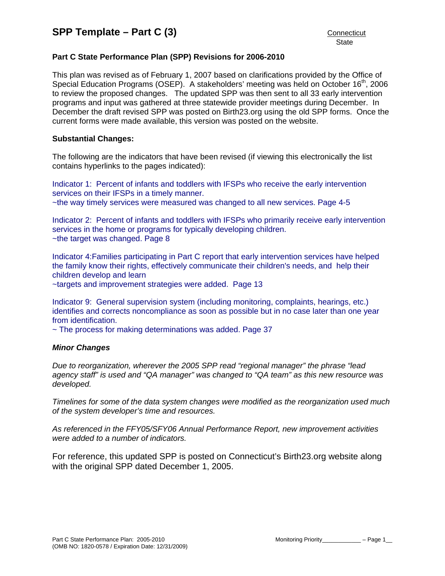# **Part C State Performance Plan (SPP) Revisions for 2006-2010**

This plan was revised as of February 1, 2007 based on clarifications provided by the Office of Special Education Programs (OSEP). A stakeholders' meeting was held on October 16<sup>th</sup>, 2006 to review the proposed changes. The updated SPP was then sent to all 33 early intervention programs and input was gathered at three statewide provider meetings during December. In December the draft revised SPP was posted on Birth23.org using the old SPP forms. Once the current forms were made available, this version was posted on the website.

## **Substantial Changes:**

The following are the indicators that have been revised (if viewing this electronically the list contains hyperlinks to the pages indicated):

Indicator 1: Percent of infants and toddlers with IFSPs who receive the early intervention services on their IFSPs in a timely manner. ~the way timely services were measured was changed to all new services. Page 4-5

Indicator 2: Percent of infants and toddlers with IFSPs who primarily receive early intervention services in the home or programs for typically developing children. ~the target was changed. Page 8

Indicator 4:Families participating in Part C report that early intervention services have helped the family know their rights, effectively communicate their children's needs, and help their children develop and learn

~targets and improvement strategies were added. Page 13

Indicator 9: General supervision system (including monitoring, complaints, hearings, etc.) identifies and corrects noncompliance as soon as possible but in no case later than one year from identification.

~ The process for making determinations was added. Page 37

#### *Minor Changes*

*Due to reorganization, wherever the 2005 SPP read "regional manager" the phrase "lead agency staff" is used and "QA manager" was changed to "QA team" as this new resource was developed.* 

*Timelines for some of the data system changes were modified as the reorganization used much of the system developer's time and resources.* 

*As referenced in the FFY05/SFY06 Annual Performance Report, new improvement activities were added to a number of indicators.*

For reference, this updated SPP is posted on Connecticut's Birth23.org website along with the original SPP dated December 1, 2005.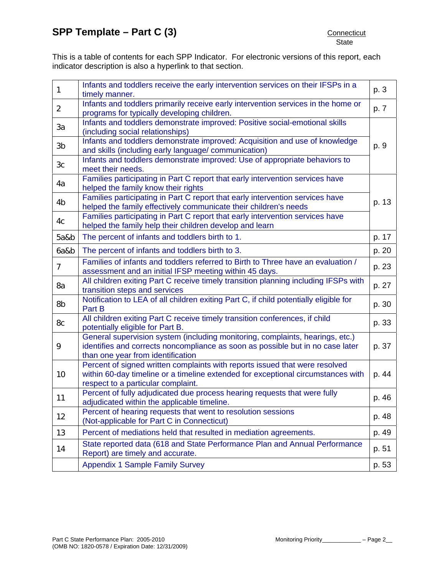This is a table of contents for each SPP Indicator. For electronic versions of this report, each indicator description is also a hyperlink to that section.

| 1              | Infants and toddlers receive the early intervention services on their IFSPs in a<br>timely manner.                                                                                                    | p. 3  |
|----------------|-------------------------------------------------------------------------------------------------------------------------------------------------------------------------------------------------------|-------|
| $\overline{2}$ | Infants and toddlers primarily receive early intervention services in the home or<br>programs for typically developing children.                                                                      | p. 7  |
| 3a             | Infants and toddlers demonstrate improved: Positive social-emotional skills<br>(including social relationships)                                                                                       |       |
| 3b             | Infants and toddlers demonstrate improved: Acquisition and use of knowledge<br>and skills (including early language/ communication)                                                                   | p. 9  |
| 3 <sub>c</sub> | Infants and toddlers demonstrate improved: Use of appropriate behaviors to<br>meet their needs.                                                                                                       |       |
| 4a             | Families participating in Part C report that early intervention services have<br>helped the family know their rights                                                                                  |       |
| 4 <sub>b</sub> | Families participating in Part C report that early intervention services have<br>helped the family effectively communicate their children's needs                                                     | p. 13 |
| 4c             | Families participating in Part C report that early intervention services have<br>helped the family help their children develop and learn                                                              |       |
| 5a&b           | The percent of infants and toddlers birth to 1.                                                                                                                                                       | p. 17 |
| 6a&b           | The percent of infants and toddlers birth to 3.                                                                                                                                                       | p. 20 |
| $\overline{7}$ | Families of infants and toddlers referred to Birth to Three have an evaluation /<br>assessment and an initial IFSP meeting within 45 days.                                                            | p. 23 |
| 8a             | All children exiting Part C receive timely transition planning including IFSPs with<br>transition steps and services                                                                                  | p. 27 |
| 8b             | Notification to LEA of all children exiting Part C, if child potentially eligible for<br>Part B                                                                                                       | p. 30 |
| 8c             | All children exiting Part C receive timely transition conferences, if child<br>potentially eligible for Part B.                                                                                       | p. 33 |
| 9              | General supervision system (including monitoring, complaints, hearings, etc.)<br>identifies and corrects noncompliance as soon as possible but in no case later<br>than one year from identification  | p. 37 |
| 10             | Percent of signed written complaints with reports issued that were resolved<br>within 60-day timeline or a timeline extended for exceptional circumstances with<br>respect to a particular complaint. | p. 44 |
| 11             | Percent of fully adjudicated due process hearing requests that were fully<br>adjudicated within the applicable timeline.                                                                              | p. 46 |
| 12             | Percent of hearing requests that went to resolution sessions<br>(Not-applicable for Part C in Connecticut)                                                                                            | p. 48 |
| 13             | Percent of mediations held that resulted in mediation agreements.                                                                                                                                     | p. 49 |
| 14             | State reported data (618 and State Performance Plan and Annual Performance<br>Report) are timely and accurate.                                                                                        | p. 51 |
|                | <b>Appendix 1 Sample Family Survey</b>                                                                                                                                                                | p. 53 |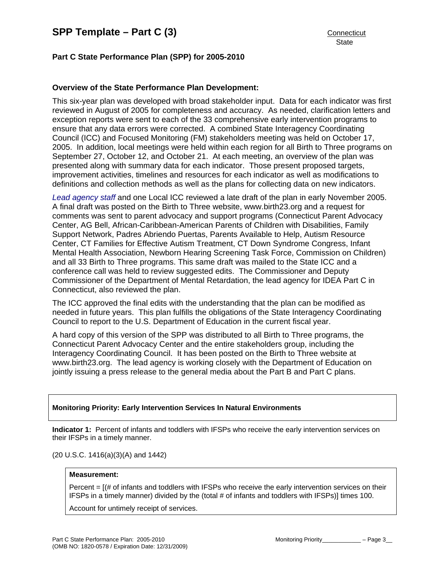# **Part C State Performance Plan (SPP) for 2005-2010**

## **Overview of the State Performance Plan Development:**

This six-year plan was developed with broad stakeholder input. Data for each indicator was first reviewed in August of 2005 for completeness and accuracy. As needed, clarification letters and exception reports were sent to each of the 33 comprehensive early intervention programs to ensure that any data errors were corrected. A combined State Interagency Coordinating Council (ICC) and Focused Monitoring (FM) stakeholders meeting was held on October 17, 2005. In addition, local meetings were held within each region for all Birth to Three programs on September 27, October 12, and October 21. At each meeting, an overview of the plan was presented along with summary data for each indicator. Those present proposed targets, improvement activities, timelines and resources for each indicator as well as modifications to definitions and collection methods as well as the plans for collecting data on new indicators.

*Lead agency staff* and one Local ICC reviewed a late draft of the plan in early November 2005. A final draft was posted on the Birth to Three website, www.birth23.org and a request for comments was sent to parent advocacy and support programs (Connecticut Parent Advocacy Center, AG Bell, African-Caribbean-American Parents of Children with Disabilities, Family Support Network, Padres Abriendo Puertas, Parents Available to Help, Autism Resource Center, CT Families for Effective Autism Treatment, CT Down Syndrome Congress, Infant Mental Health Association, Newborn Hearing Screening Task Force, Commission on Children) and all 33 Birth to Three programs. This same draft was mailed to the State ICC and a conference call was held to review suggested edits. The Commissioner and Deputy Commissioner of the Department of Mental Retardation, the lead agency for IDEA Part C in Connecticut, also reviewed the plan.

The ICC approved the final edits with the understanding that the plan can be modified as needed in future years. This plan fulfills the obligations of the State Interagency Coordinating Council to report to the U.S. Department of Education in the current fiscal year.

A hard copy of this version of the SPP was distributed to all Birth to Three programs, the Connecticut Parent Advocacy Center and the entire stakeholders group, including the Interagency Coordinating Council. It has been posted on the Birth to Three website at www.birth23.org. The lead agency is working closely with the Department of Education on jointly issuing a press release to the general media about the Part B and Part C plans.

#### **Monitoring Priority: Early Intervention Services In Natural Environments**

**Indicator 1:** Percent of infants and toddlers with IFSPs who receive the early intervention services on their IFSPs in a timely manner.

(20 U.S.C. 1416(a)(3)(A) and 1442)

#### **Measurement:**

Percent = [(# of infants and toddlers with IFSPs who receive the early intervention services on their IFSPs in a timely manner) divided by the (total # of infants and toddlers with IFSPs)] times 100.

Account for untimely receipt of services.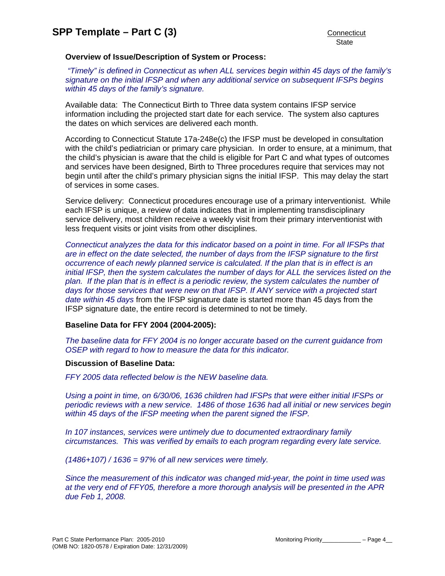### **Overview of Issue/Description of System or Process:**

 *"Timely" is defined in Connecticut as when ALL services begin within 45 days of the family's signature on the initial IFSP and when any additional service on subsequent IFSPs begins within 45 days of the family's signature.* 

Available data: The Connecticut Birth to Three data system contains IFSP service information including the projected start date for each service. The system also captures the dates on which services are delivered each month.

According to Connecticut Statute 17a-248e(c) the IFSP must be developed in consultation with the child's pediatrician or primary care physician. In order to ensure, at a minimum, that the child's physician is aware that the child is eligible for Part C and what types of outcomes and services have been designed, Birth to Three procedures require that services may not begin until after the child's primary physician signs the initial IFSP. This may delay the start of services in some cases.

Service delivery: Connecticut procedures encourage use of a primary interventionist. While each IFSP is unique, a review of data indicates that in implementing transdisciplinary service delivery, most children receive a weekly visit from their primary interventionist with less frequent visits or joint visits from other disciplines.

*Connecticut analyzes the data for this indicator based on a point in time. For all IFSPs that are in effect on the date selected, the number of days from the IFSP signature to the first occurrence of each newly planned service is calculated. If the plan that is in effect is an initial IFSP, then the system calculates the number of days for ALL the services listed on the* plan. If the plan that is in effect is a periodic review, the system calculates the number of days for those services that were new on that IFSP. If ANY service with a projected start *date within 45 days* from the IFSP signature date is started more than 45 days from the IFSP signature date, the entire record is determined to not be timely.

#### **Baseline Data for FFY 2004 (2004-2005):**

*The baseline data for FFY 2004 is no longer accurate based on the current guidance from OSEP with regard to how to measure the data for this indicator.* 

#### **Discussion of Baseline Data:**

*FFY 2005 data reflected below is the NEW baseline data.* 

*Using a point in time, on 6/30/06, 1636 children had IFSPs that were either initial IFSPs or periodic reviews with a new service. 1486 of those 1636 had all initial or new services begin within 45 days of the IFSP meeting when the parent signed the IFSP.* 

*In 107 instances, services were untimely due to documented extraordinary family circumstances. This was verified by emails to each program regarding every late service.* 

*(1486+107) / 1636 = 97% of all new services were timely.* 

*Since the measurement of this indicator was changed mid-year, the point in time used was at the very end of FFY05, therefore a more thorough analysis will be presented in the APR due Feb 1, 2008.*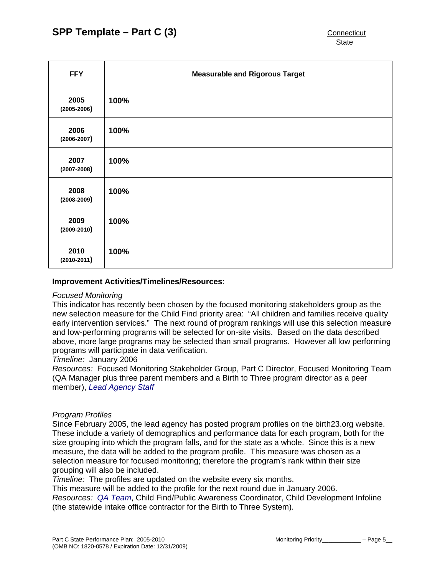| <b>FFY</b>              | <b>Measurable and Rigorous Target</b> |
|-------------------------|---------------------------------------|
| 2005<br>$(2005 - 2006)$ | 100%                                  |
| 2006<br>$(2006 - 2007)$ | 100%                                  |
| 2007<br>$(2007 - 2008)$ | 100%                                  |
| 2008<br>$(2008 - 2009)$ | 100%                                  |
| 2009<br>$(2009 - 2010)$ | 100%                                  |
| 2010<br>$(2010 - 2011)$ | 100%                                  |

#### **Improvement Activities/Timelines/Resources**:

#### *Focused Monitoring*

This indicator has recently been chosen by the focused monitoring stakeholders group as the new selection measure for the Child Find priority area: "All children and families receive quality early intervention services." The next round of program rankings will use this selection measure and low-performing programs will be selected for on-site visits. Based on the data described above, more large programs may be selected than small programs. However all low performing programs will participate in data verification.

*Timeline:* January 2006

*Resources:* Focused Monitoring Stakeholder Group, Part C Director, Focused Monitoring Team (QA Manager plus three parent members and a Birth to Three program director as a peer member), *Lead Agency Staff*

#### *Program Profiles*

Since February 2005, the lead agency has posted program profiles on the birth23.org website. These include a variety of demographics and performance data for each program, both for the size grouping into which the program falls, and for the state as a whole. Since this is a new measure, the data will be added to the program profile. This measure was chosen as a selection measure for focused monitoring; therefore the program's rank within their size grouping will also be included.

*Timeline:* The profiles are updated on the website every six months.

This measure will be added to the profile for the next round due in January 2006.

*Resources: QA Team*, Child Find/Public Awareness Coordinator, Child Development Infoline (the statewide intake office contractor for the Birth to Three System).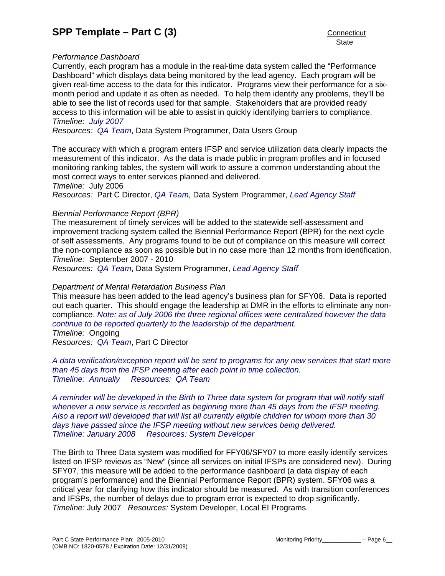## *Performance Dashboard*

Currently, each program has a module in the real-time data system called the "Performance Dashboard" which displays data being monitored by the lead agency. Each program will be given real-time access to the data for this indicator. Programs view their performance for a sixmonth period and update it as often as needed. To help them identify any problems, they'll be able to see the list of records used for that sample. Stakeholders that are provided ready access to this information will be able to assist in quickly identifying barriers to compliance. *Timeline: July 2007*

*Resources: QA Team*, Data System Programmer, Data Users Group

The accuracy with which a program enters IFSP and service utilization data clearly impacts the measurement of this indicator. As the data is made public in program profiles and in focused monitoring ranking tables, the system will work to assure a common understanding about the most correct ways to enter services planned and delivered.

*Timeline:* July 2006

*Resources:* Part C Director, *QA Team*, Data System Programmer, *Lead Agency Staff*

## *Biennial Performance Report (BPR)*

The measurement of timely services will be added to the statewide self-assessment and improvement tracking system called the Biennial Performance Report (BPR) for the next cycle of self assessments. Any programs found to be out of compliance on this measure will correct the non-compliance as soon as possible but in no case more than 12 months from identification. *Timeline:* September 2007 - 2010

*Resources: QA Team*, Data System Programmer, *Lead Agency Staff*

## *Department of Mental Retardation Business Plan*

This measure has been added to the lead agency's business plan for SFY06. Data is reported out each quarter. This should engage the leadership at DMR in the efforts to eliminate any noncompliance. *Note: as of July 2006 the three regional offices were centralized however the data continue to be reported quarterly to the leadership of the department. Timeline:* Ongoing

*Resources: QA Team*, Part C Director

*A data verification/exception report will be sent to programs for any new services that start more than 45 days from the IFSP meeting after each point in time collection. Timeline: Annually Resources: QA Team* 

*A reminder will be developed in the Birth to Three data system for program that will notify staff whenever a new service is recorded as beginning more than 45 days from the IFSP meeting. Also a report will developed that will list all currently eligible children for whom more than 30 days have passed since the IFSP meeting without new services being delivered. Timeline: January 2008 Resources: System Developer* 

The Birth to Three Data system was modified for FFY06/SFY07 to more easily identify services listed on IFSP reviews as "New" (since all services on initial IFSPs are considered new). During SFY07, this measure will be added to the performance dashboard (a data display of each program's performance) and the Biennial Performance Report (BPR) system. SFY06 was a critical year for clarifying how this indicator should be measured. As with transition conferences and IFSPs, the number of delays due to program error is expected to drop significantly. *Timeline:* July 2007 *Resources:* System Developer, Local EI Programs.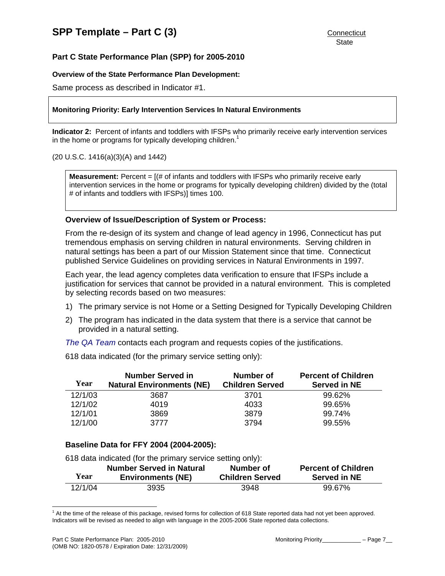#### **Overview of the State Performance Plan Development:**

Same process as described in Indicator #1.

#### **Monitoring Priority: Early Intervention Services In Natural Environments**

**Indicator 2:** Percent of infants and toddlers with IFSPs who primarily receive early intervention services in the home or programs for typically developing children.<sup>1</sup>

#### (20 U.S.C. 1416(a)(3)(A) and 1442)

**Measurement:** Percent = [(# of infants and toddlers with IFSPs who primarily receive early intervention services in the home or programs for typically developing children) divided by the (total # of infants and toddlers with IFSPs)] times 100.

## **Overview of Issue/Description of System or Process:**

From the re-design of its system and change of lead agency in 1996, Connecticut has put tremendous emphasis on serving children in natural environments. Serving children in natural settings has been a part of our Mission Statement since that time. Connecticut published Service Guidelines on providing services in Natural Environments in 1997.

Each year, the lead agency completes data verification to ensure that IFSPs include a justification for services that cannot be provided in a natural environment. This is completed by selecting records based on two measures:

- 1) The primary service is not Home or a Setting Designed for Typically Developing Children
- 2) The program has indicated in the data system that there is a service that cannot be provided in a natural setting.
- *The QA Team* contacts each program and requests copies of the justifications.

618 data indicated (for the primary service setting only):

|         | <b>Number Served in</b>          | Number of              | <b>Percent of Children</b> |
|---------|----------------------------------|------------------------|----------------------------|
| Year    | <b>Natural Environments (NE)</b> | <b>Children Served</b> | <b>Served in NE</b>        |
| 12/1/03 | 3687                             | 3701                   | 99.62%                     |
| 12/1/02 | 4019                             | 4033                   | 99.65%                     |
| 12/1/01 | 3869                             | 3879                   | 99.74%                     |
| 12/1/00 | 3777                             | 3794                   | 99.55%                     |

# **Baseline Data for FFY 2004 (2004-2005):**

618 data indicated (for the primary service setting only):

| Year    | <b>Number Served in Natural</b> | Number of              | <b>Percent of Children</b> |
|---------|---------------------------------|------------------------|----------------------------|
|         | <b>Environments (NE)</b>        | <b>Children Served</b> | <b>Served in NE</b>        |
| 12/1/04 | 3935                            | 3948                   | 99.67%                     |

 1 At the time of the release of this package, revised forms for collection of 618 State reported data had not yet been approved. Indicators will be revised as needed to align with language in the 2005-2006 State reported data collections.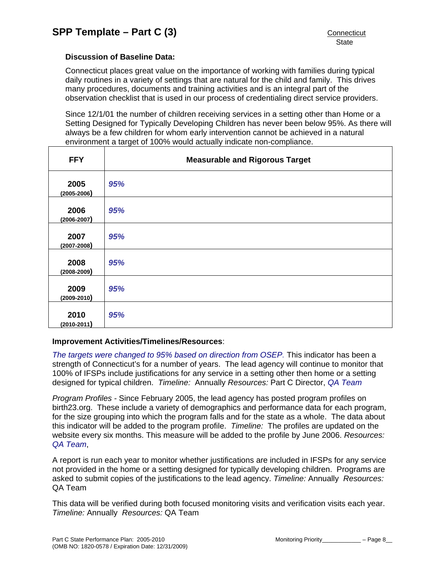# **Discussion of Baseline Data:**

Connecticut places great value on the importance of working with families during typical daily routines in a variety of settings that are natural for the child and family. This drives many procedures, documents and training activities and is an integral part of the observation checklist that is used in our process of credentialing direct service providers.

Since 12/1/01 the number of children receiving services in a setting other than Home or a Setting Designed for Typically Developing Children has never been below 95%. As there will always be a few children for whom early intervention cannot be achieved in a natural environment a target of 100% would actually indicate non-compliance.

| <b>FFY</b>              | <b>Measurable and Rigorous Target</b> |
|-------------------------|---------------------------------------|
| 2005<br>$(2005 - 2006)$ | 95%                                   |
| 2006<br>$(2006 - 2007)$ | 95%                                   |
| 2007<br>$(2007 - 2008)$ | 95%                                   |
| 2008<br>$(2008 - 2009)$ | 95%                                   |
| 2009<br>$(2009 - 2010)$ | 95%                                   |
| 2010<br>$(2010 - 2011)$ | 95%                                   |

#### **Improvement Activities/Timelines/Resources**:

*The targets were changed to 95% based on direction from OSEP.* This indicator has been a strength of Connecticut's for a number of years. The lead agency will continue to monitor that 100% of IFSPs include justifications for any service in a setting other then home or a setting designed for typical children. *Timeline:* Annually *Resources:* Part C Director, *QA Team* 

*Program Profiles -* Since February 2005, the lead agency has posted program profiles on birth23.org. These include a variety of demographics and performance data for each program, for the size grouping into which the program falls and for the state as a whole. The data about this indicator will be added to the program profile. *Timeline:* The profiles are updated on the website every six months. This measure will be added to the profile by June 2006. *Resources: QA Team*,

A report is run each year to monitor whether justifications are included in IFSPs for any service not provided in the home or a setting designed for typically developing children. Programs are asked to submit copies of the justifications to the lead agency. *Timeline:* Annually *Resources:* QA Team

This data will be verified during both focused monitoring visits and verification visits each year. *Timeline:* Annually *Resources:* QA Team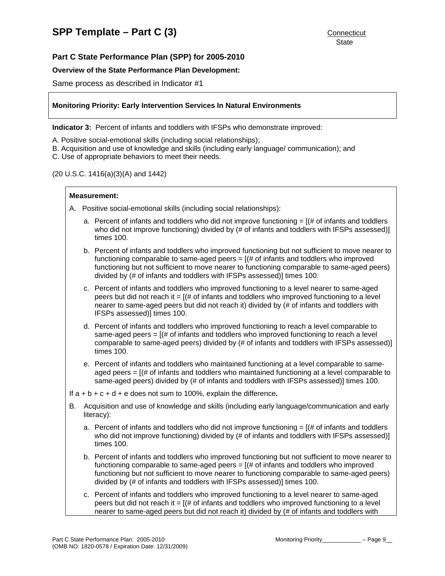#### **Overview of the State Performance Plan Development:**

Same process as described in Indicator #1

#### **Monitoring Priority: Early Intervention Services In Natural Environments**

**Indicator 3:** Percent of infants and toddlers with IFSPs who demonstrate improved:

- A. Positive social-emotional skills (including social relationships);
- B. Acquisition and use of knowledge and skills (including early language/ communication); and
- C. Use of appropriate behaviors to meet their needs.

#### (20 U.S.C. 1416(a)(3)(A) and 1442)

#### **Measurement:**

- A. Positive social-emotional skills (including social relationships):
	- a. Percent of infants and toddlers who did not improve functioning  $=$   $($  # of infants and toddlers who did not improve functioning) divided by (# of infants and toddlers with IFSPs assessed)] times 100.
	- b. Percent of infants and toddlers who improved functioning but not sufficient to move nearer to functioning comparable to same-aged peers = [(# of infants and toddlers who improved functioning but not sufficient to move nearer to functioning comparable to same-aged peers) divided by (# of infants and toddlers with IFSPs assessed)] times 100.
	- c. Percent of infants and toddlers who improved functioning to a level nearer to same-aged peers but did not reach it  $=$   $[$  (# of infants and toddlers who improved functioning to a level nearer to same-aged peers but did not reach it) divided by (# of infants and toddlers with IFSPs assessed)] times 100.
	- d. Percent of infants and toddlers who improved functioning to reach a level comparable to same-aged peers  $=$   $[(# of in fants and to ddlers who improved functioning to reach a level$ comparable to same-aged peers) divided by (# of infants and toddlers with IFSPs assessed)] times 100.
	- e. Percent of infants and toddlers who maintained functioning at a level comparable to sameaged peers  $=$   $[(# of in fants and toldlers who maintained functioning at a level comparable to$ same-aged peers) divided by (# of infants and toddlers with IFSPs assessed)] times 100.
- If a + b + c + d + e does not sum to 100%, explain the difference**.**
- B. Acquisition and use of knowledge and skills (including early language/communication and early literacy):
	- a. Percent of infants and toddlers who did not improve functioning  $=$   $[$   $\#$  of infants and toddlers who did not improve functioning) divided by (# of infants and toddlers with IFSPs assessed)] times 100.
	- b. Percent of infants and toddlers who improved functioning but not sufficient to move nearer to functioning comparable to same-aged peers = [(# of infants and toddlers who improved functioning but not sufficient to move nearer to functioning comparable to same-aged peers) divided by (# of infants and toddlers with IFSPs assessed)] times 100.
	- c. Percent of infants and toddlers who improved functioning to a level nearer to same-aged peers but did not reach it  $=$   $[(# of infants and toldders who improved functioning to a level$ nearer to same-aged peers but did not reach it) divided by (# of infants and toddlers with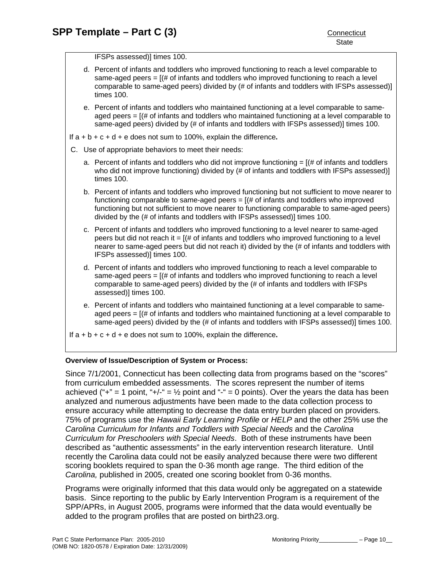IFSPs assessed)] times 100.

- d. Percent of infants and toddlers who improved functioning to reach a level comparable to same-aged peers  $=$   $[(# of in fants and to ddlers who improved functioning to reach a level)]$ comparable to same-aged peers) divided by (# of infants and toddlers with IFSPs assessed)] times 100.
- e. Percent of infants and toddlers who maintained functioning at a level comparable to sameaged peers  $=$   $[$   $\#$  of infants and toddlers who maintained functioning at a level comparable to same-aged peers) divided by (# of infants and toddlers with IFSPs assessed)] times 100.

If a + b + c + d + e does not sum to 100%, explain the difference**.**

- C. Use of appropriate behaviors to meet their needs:
	- a. Percent of infants and toddlers who did not improve functioning  $=$   $[$   $\#$  of infants and toddlers who did not improve functioning) divided by (# of infants and toddlers with IFSPs assessed)] times 100.
	- b. Percent of infants and toddlers who improved functioning but not sufficient to move nearer to functioning comparable to same-aged peers  $=$   $[(# of in fants and to ddlers who improved]$ functioning but not sufficient to move nearer to functioning comparable to same-aged peers) divided by the (# of infants and toddlers with IFSPs assessed)] times 100.
	- c. Percent of infants and toddlers who improved functioning to a level nearer to same-aged peers but did not reach it  $=$   $[(# of infants and toldlers who improved functioning to a level$ nearer to same-aged peers but did not reach it) divided by the (# of infants and toddlers with IFSPs assessed)] times 100.
	- d. Percent of infants and toddlers who improved functioning to reach a level comparable to same-aged peers  $= [(# of in fants and to ddlers who improved functioning to reach a level)$ comparable to same-aged peers) divided by the (# of infants and toddlers with IFSPs assessed)] times 100.
	- e. Percent of infants and toddlers who maintained functioning at a level comparable to sameaged peers  $=$   $[(# of in fants and toldlers who maintained functioning at a level comparable to$ same-aged peers) divided by the (# of infants and toddlers with IFSPs assessed)] times 100.

If a + b + c + d + e does not sum to 100%, explain the difference**.** 

#### **Overview of Issue/Description of System or Process:**

Since 7/1/2001, Connecticut has been collecting data from programs based on the "scores" from curriculum embedded assessments. The scores represent the number of items achieved ("+" = 1 point, "+/-" =  $\frac{1}{2}$  point and "-" = 0 points). Over the years the data has been analyzed and numerous adjustments have been made to the data collection process to ensure accuracy while attempting to decrease the data entry burden placed on providers. 75% of programs use the *Hawaii Early Learning Profile* or *HELP* and the other 25% use the *Carolina Curriculum for Infants and Toddlers with Special Needs* and the *Carolina Curriculum for Preschoolers with Special Needs*. Both of these instruments have been described as "authentic assessments" in the early intervention research literature. Until recently the Carolina data could not be easily analyzed because there were two different scoring booklets required to span the 0-36 month age range. The third edition of the *Carolina,* published in 2005, created one scoring booklet from 0-36 months.

Programs were originally informed that this data would only be aggregated on a statewide basis. Since reporting to the public by Early Intervention Program is a requirement of the SPP/APRs, in August 2005, programs were informed that the data would eventually be added to the program profiles that are posted on birth23.org.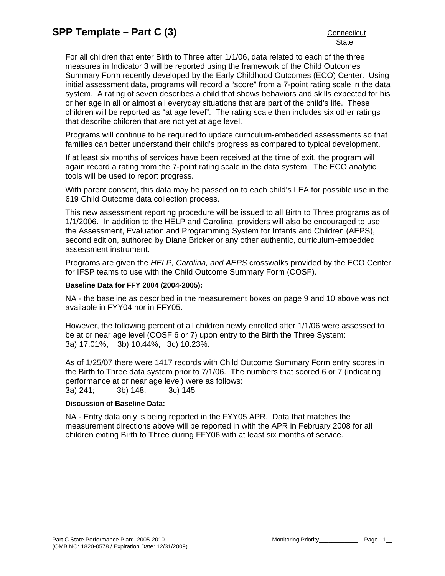For all children that enter Birth to Three after 1/1/06, data related to each of the three measures in Indicator 3 will be reported using the framework of the Child Outcomes Summary Form recently developed by the Early Childhood Outcomes (ECO) Center. Using initial assessment data, programs will record a "score" from a 7-point rating scale in the data system. A rating of seven describes a child that shows behaviors and skills expected for his or her age in all or almost all everyday situations that are part of the child's life. These children will be reported as "at age level". The rating scale then includes six other ratings that describe children that are not yet at age level.

Programs will continue to be required to update curriculum-embedded assessments so that families can better understand their child's progress as compared to typical development.

If at least six months of services have been received at the time of exit, the program will again record a rating from the 7-point rating scale in the data system. The ECO analytic tools will be used to report progress.

With parent consent, this data may be passed on to each child's LEA for possible use in the 619 Child Outcome data collection process.

This new assessment reporting procedure will be issued to all Birth to Three programs as of 1/1/2006. In addition to the HELP and Carolina, providers will also be encouraged to use the Assessment, Evaluation and Programming System for Infants and Children (AEPS), second edition, authored by Diane Bricker or any other authentic, curriculum-embedded assessment instrument.

Programs are given the *HELP, Carolina, and AEPS* crosswalks provided by the ECO Center for IFSP teams to use with the Child Outcome Summary Form (COSF).

#### **Baseline Data for FFY 2004 (2004-2005):**

NA - the baseline as described in the measurement boxes on page 9 and 10 above was not available in FYY04 nor in FFY05.

However, the following percent of all children newly enrolled after 1/1/06 were assessed to be at or near age level (COSF 6 or 7) upon entry to the Birth the Three System: 3a) 17.01%, 3b) 10.44%, 3c) 10.23%.

As of 1/25/07 there were 1417 records with Child Outcome Summary Form entry scores in the Birth to Three data system prior to 7/1/06. The numbers that scored 6 or 7 (indicating performance at or near age level) were as follows: 3a) 241; 3b) 148; 3c) 145

#### **Discussion of Baseline Data:**

NA - Entry data only is being reported in the FYY05 APR. Data that matches the measurement directions above will be reported in with the APR in February 2008 for all children exiting Birth to Three during FFY06 with at least six months of service.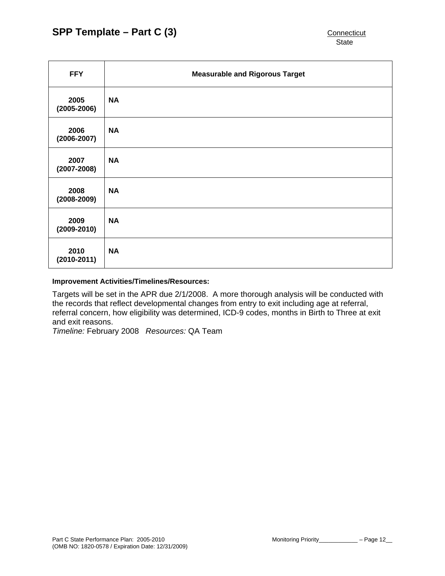| <b>FFY</b>              | <b>Measurable and Rigorous Target</b> |
|-------------------------|---------------------------------------|
| 2005<br>$(2005 - 2006)$ | <b>NA</b>                             |
| 2006<br>$(2006 - 2007)$ | <b>NA</b>                             |
| 2007<br>$(2007 - 2008)$ | <b>NA</b>                             |
| 2008<br>$(2008 - 2009)$ | <b>NA</b>                             |
| 2009<br>$(2009 - 2010)$ | <b>NA</b>                             |
| 2010<br>$(2010 - 2011)$ | <b>NA</b>                             |

#### **Improvement Activities/Timelines/Resources:**

Targets will be set in the APR due 2/1/2008. A more thorough analysis will be conducted with the records that reflect developmental changes from entry to exit including age at referral, referral concern, how eligibility was determined, ICD-9 codes, months in Birth to Three at exit and exit reasons.

*Timeline:* February 2008 *Resources:* QA Team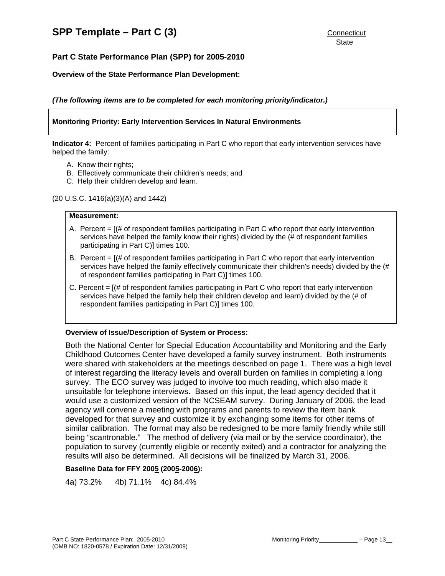# **Part C State Performance Plan (SPP) for 2005-2010**

#### **Overview of the State Performance Plan Development:**

*(The following items are to be completed for each monitoring priority/indicator.)* 

#### **Monitoring Priority: Early Intervention Services In Natural Environments**

**Indicator 4:** Percent of families participating in Part C who report that early intervention services have helped the family:

- A. Know their rights;
- B. Effectively communicate their children's needs; and
- C. Help their children develop and learn.

(20 U.S.C. 1416(a)(3)(A) and 1442)

#### **Measurement:**

- A. Percent  $=$   $[($   $\#$  of respondent families participating in Part C who report that early intervention services have helped the family know their rights) divided by the (# of respondent families participating in Part C)] times 100.
- B. Percent  $=$   $[($   $\#$  of respondent families participating in Part C who report that early intervention services have helped the family effectively communicate their children's needs) divided by the (# of respondent families participating in Part C)] times 100.
- C. Percent  $=$   $[$  (# of respondent families participating in Part C who report that early intervention services have helped the family help their children develop and learn) divided by the (# of respondent families participating in Part C)] times 100.

#### **Overview of Issue/Description of System or Process:**

Both the National Center for Special Education Accountability and Monitoring and the Early Childhood Outcomes Center have developed a family survey instrument. Both instruments were shared with stakeholders at the meetings described on page 1. There was a high level of interest regarding the literacy levels and overall burden on families in completing a long survey. The ECO survey was judged to involve too much reading, which also made it unsuitable for telephone interviews. Based on this input, the lead agency decided that it would use a customized version of the NCSEAM survey. During January of 2006, the lead agency will convene a meeting with programs and parents to review the item bank developed for that survey and customize it by exchanging some items for other items of similar calibration. The format may also be redesigned to be more family friendly while still being "scantronable." The method of delivery (via mail or by the service coordinator), the population to survey (currently eligible or recently exited) and a contractor for analyzing the results will also be determined. All decisions will be finalized by March 31, 2006.

#### **Baseline Data for FFY 2005 (2005-2006):**

4a) 73.2% 4b) 71.1% 4c) 84.4%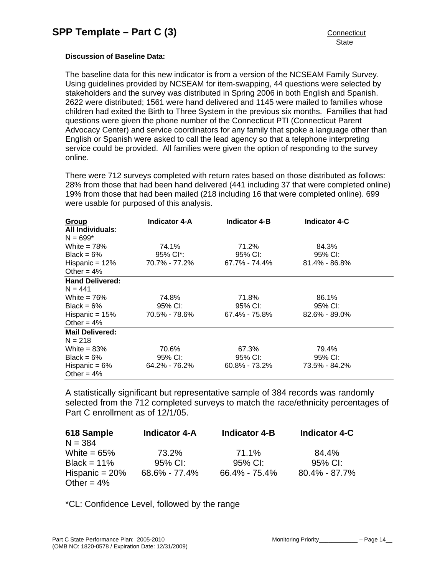#### **Discussion of Baseline Data:**

The baseline data for this new indicator is from a version of the NCSEAM Family Survey. Using guidelines provided by NCSEAM for item-swapping, 44 questions were selected by stakeholders and the survey was distributed in Spring 2006 in both English and Spanish. 2622 were distributed; 1561 were hand delivered and 1145 were mailed to families whose children had exited the Birth to Three System in the previous six months. Families that had questions were given the phone number of the Connecticut PTI (Connecticut Parent Advocacy Center) and service coordinators for any family that spoke a language other than English or Spanish were asked to call the lead agency so that a telephone interpreting service could be provided. All families were given the option of responding to the survey online.

There were 712 surveys completed with return rates based on those distributed as follows: 28% from those that had been hand delivered (441 including 37 that were completed online) 19% from those that had been mailed (218 including 16 that were completed online). 699 were usable for purposed of this analysis.

| Group<br>All Individuals: | <b>Indicator 4-A</b>  | <b>Indicator 4-B</b> | <b>Indicator 4-C</b> |  |
|---------------------------|-----------------------|----------------------|----------------------|--|
| $N = 699*$                |                       |                      |                      |  |
| White $= 78\%$            | 74.1%                 | 71.2%                | 84.3%                |  |
| Black = $6\%$             | 95% Cl <sup>*</sup> : | 95% CI:              | 95% CI:              |  |
| Hispanic = $12%$          | 70.7% - 77.2%         | 67.7% - 74.4%        | $81.4\% - 86.8\%$    |  |
| Other = $4\%$             |                       |                      |                      |  |
| <b>Hand Delivered:</b>    |                       |                      |                      |  |
| $N = 441$                 |                       |                      |                      |  |
| White $= 76\%$            | 74.8%                 | 71.8%                | 86.1%                |  |
| Black = $6\%$             | 95% CI:               | 95% CI:              | 95% CI:              |  |
| Hispanic = $15%$          | 70.5% - 78.6%         | 67.4% - 75.8%        | $82.6\% - 89.0\%$    |  |
| Other = $4\%$             |                       |                      |                      |  |
| <b>Mail Delivered:</b>    |                       |                      |                      |  |
| $N = 218$                 |                       |                      |                      |  |
| White = $83\%$            | 70.6%                 | 67.3%                | 79.4%                |  |
| Black = $6\%$             | 95% CI:               | 95% CI:              | 95% CI:              |  |
| Hispanic = $6\%$          | 64.2% - 76.2%         | $60.8\% - 73.2\%$    | 73.5% - 84.2%        |  |
| Other = $4\%$             |                       |                      |                      |  |

A statistically significant but representative sample of 384 records was randomly selected from the 712 completed surveys to match the race/ethnicity percentages of Part C enrollment as of 12/1/05.

| 618 Sample<br>$N = 384$           | <b>Indicator 4-A</b> | <b>Indicator 4-B</b> | <b>Indicator 4-C</b> |
|-----------------------------------|----------------------|----------------------|----------------------|
| White = $65\%$<br>Black = $11\%$  | 73.2%<br>95% CI:     | 71.1%<br>95% CI:     | 84.4%<br>95% CI:     |
| Hispanic = $20%$<br>Other = $4\%$ | 68.6% - 77.4%        | $66.4\% - 75.4\%$    | $80.4\% - 87.7\%$    |

\*CL: Confidence Level, followed by the range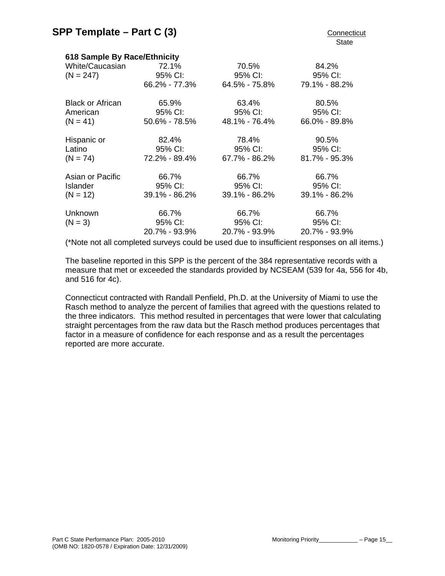| 618 Sample By Race/Ethnicity |               |               |               |
|------------------------------|---------------|---------------|---------------|
| White/Caucasian              | 72.1%         | 70.5%         | 84.2%         |
| $(N = 247)$                  | 95% CI:       | 95% CI:       | 95% CI:       |
|                              | 66.2% - 77.3% | 64.5% - 75.8% | 79.1% - 88.2% |
| <b>Black or African</b>      | 65.9%         | 63.4%         | 80.5%         |
| American                     | 95% CI:       | 95% CI:       | 95% CI:       |
| $(N = 41)$                   | 50.6% - 78.5% | 48.1% - 76.4% | 66.0% - 89.8% |
| Hispanic or                  | 82.4%         | 78.4%         | 90.5%         |
| Latino                       | 95% CI:       | 95% CI:       | 95% CI:       |
| $(N = 74)$                   | 72.2% - 89.4% | 67.7% - 86.2% | 81.7% - 95.3% |
| Asian or Pacific             | 66.7%         | 66.7%         | 66.7%         |
| <b>Islander</b>              | 95% CI:       | 95% CI:       | 95% CI:       |
| $(N = 12)$                   | 39.1% - 86.2% | 39.1% - 86.2% | 39.1% - 86.2% |
| Unknown                      | 66.7%         | 66.7%         | 66.7%         |
| $(N = 3)$                    | 95% CI:       | 95% CI:       | 95% CI:       |
|                              | 20.7% - 93.9% | 20.7% - 93.9% | 20.7% - 93.9% |
|                              |               |               |               |

(\*Note not all completed surveys could be used due to insufficient responses on all items.)

The baseline reported in this SPP is the percent of the 384 representative records with a measure that met or exceeded the standards provided by NCSEAM (539 for 4a, 556 for 4b, and 516 for 4c).

Connecticut contracted with Randall Penfield, Ph.D. at the University of Miami to use the Rasch method to analyze the percent of families that agreed with the questions related to the three indicators. This method resulted in percentages that were lower that calculating straight percentages from the raw data but the Rasch method produces percentages that factor in a measure of confidence for each response and as a result the percentages reported are more accurate.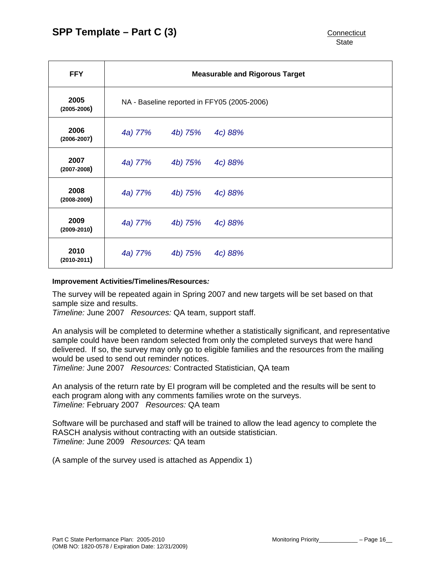| <b>FFY</b>              | <b>Measurable and Rigorous Target</b>       |         |         |  |  |  |
|-------------------------|---------------------------------------------|---------|---------|--|--|--|
| 2005<br>$(2005 - 2006)$ | NA - Baseline reported in FFY05 (2005-2006) |         |         |  |  |  |
| 2006<br>$(2006 - 2007)$ | 4a) 77%                                     | 4b) 75% | 4c) 88% |  |  |  |
| 2007<br>$(2007 - 2008)$ | 4a) 77%                                     | 4b) 75% | 4c) 88% |  |  |  |
| 2008<br>$(2008 - 2009)$ | 4a) 77%                                     | 4b) 75% | 4c) 88% |  |  |  |
| 2009<br>$(2009 - 2010)$ | 4a) 77%                                     | 4b) 75% | 4c) 88% |  |  |  |
| 2010<br>$(2010 - 2011)$ | 4a) 77%                                     | 4b) 75% | 4c) 88% |  |  |  |

#### **Improvement Activities/Timelines/Resources***:*

The survey will be repeated again in Spring 2007 and new targets will be set based on that sample size and results.

*Timeline:* June 2007 *Resources:* QA team, support staff.

An analysis will be completed to determine whether a statistically significant, and representative sample could have been random selected from only the completed surveys that were hand delivered. If so, the survey may only go to eligible families and the resources from the mailing would be used to send out reminder notices.

*Timeline:* June 2007 *Resources:* Contracted Statistician, QA team

An analysis of the return rate by EI program will be completed and the results will be sent to each program along with any comments families wrote on the surveys. *Timeline:* February 2007 *Resources:* QA team

Software will be purchased and staff will be trained to allow the lead agency to complete the RASCH analysis without contracting with an outside statistician. *Timeline:* June 2009 *Resources:* QA team

(A sample of the survey used is attached as Appendix 1)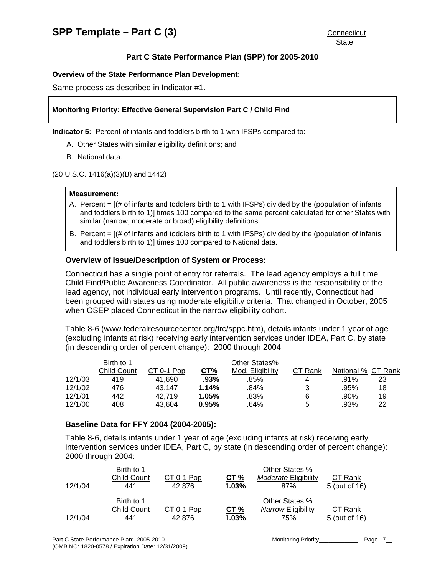#### **Overview of the State Performance Plan Development:**

Same process as described in Indicator #1.

#### **Monitoring Priority: Effective General Supervision Part C / Child Find**

**Indicator 5:** Percent of infants and toddlers birth to 1 with IFSPs compared to:

- A. Other States with similar eligibility definitions; and
- B. National data.

(20 U.S.C. 1416(a)(3)(B) and 1442)

#### **Measurement:**

- A. Percent = [(# of infants and toddlers birth to 1 with IFSPs) divided by the (population of infants and toddlers birth to 1)] times 100 compared to the same percent calculated for other States with similar (narrow, moderate or broad) eligibility definitions.
- B. Percent = [(# of infants and toddlers birth to 1 with IFSPs) divided by the (population of infants and toddlers birth to 1)] times 100 compared to National data.

#### **Overview of Issue/Description of System or Process:**

Connecticut has a single point of entry for referrals. The lead agency employs a full time Child Find/Public Awareness Coordinator. All public awareness is the responsibility of the lead agency, not individual early intervention programs. Until recently, Connecticut had been grouped with states using moderate eligibility criteria. That changed in October, 2005 when OSEP placed Connecticut in the narrow eligibility cohort.

Table 8-6 (www.federalresourcecenter.org/frc/sppc.htm), details infants under 1 year of age (excluding infants at risk) receiving early intervention services under IDEA, Part C, by state (in descending order of percent change): 2000 through 2004

|         | Birth to 1  |            |       | Other States%    |         |                    |    |
|---------|-------------|------------|-------|------------------|---------|--------------------|----|
|         | Child Count | CT 0-1 Pop | CT%   | Mod. Eligibility | CT Rank | National % CT Rank |    |
| 12/1/03 | 419         | 41.690     | .93%  | .85%             | 4       | .91%               | 23 |
| 12/1/02 | 476         | 43.147     | 1.14% | .84%             | 3       | .95%               | 18 |
| 12/1/01 | 442         | 42.719     | 1.05% | .83%             | 6       | .90%               | 19 |
| 12/1/00 | 408         | 43.604     | 0.95% | .64%             | 5       | .93%               | 22 |

#### **Baseline Data for FFY 2004 (2004-2005):**

Table 8-6, details infants under 1 year of age (excluding infants at risk) receiving early intervention services under IDEA, Part C, by state (in descending order of percent change): 2000 through 2004:

|         | Birth to 1         |            |       | Other States %       |               |
|---------|--------------------|------------|-------|----------------------|---------------|
|         | <b>Child Count</b> | CT 0-1 Pop | CT%   | Moderate Eligibility | CT Rank       |
| 12/1/04 | 441                | 42.876     | 1.03% | .87%                 | 5 (out of 16) |
|         | Birth to 1         |            |       | Other States %       |               |
|         | Child Count        | CT 0-1 Pop | CT%   | Narrow Eligibility   | CT Rank       |
| 12/1/04 | 441                | 42.876     | 1.03% | .75%                 | 5 (out of 16) |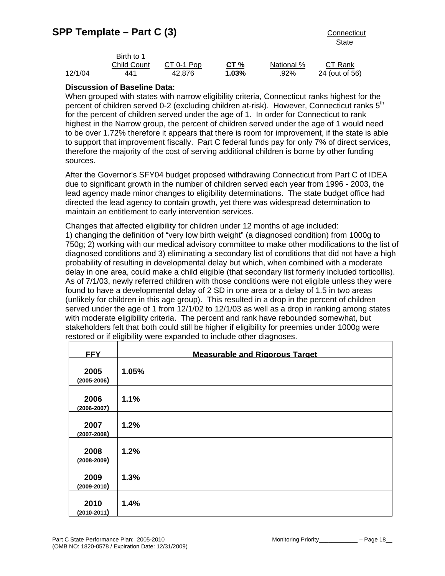|         | Birth to 1         |            |                 |            |                |
|---------|--------------------|------------|-----------------|------------|----------------|
|         | <b>Child Count</b> | CT 0-1 Pop | CT <sub>%</sub> | National % | CT Rank        |
| 12/1/04 | 441                | 42.876     | 1.03%           | .92%       | 24 (out of 56) |

## **Discussion of Baseline Data:**

When grouped with states with narrow eligibility criteria, Connecticut ranks highest for the percent of children served 0-2 (excluding children at-risk). However, Connecticut ranks 5<sup>th</sup> for the percent of children served under the age of 1. In order for Connecticut to rank highest in the Narrow group, the percent of children served under the age of 1 would need to be over 1.72% therefore it appears that there is room for improvement, if the state is able to support that improvement fiscally. Part C federal funds pay for only 7% of direct services, therefore the majority of the cost of serving additional children is borne by other funding sources.

After the Governor's SFY04 budget proposed withdrawing Connecticut from Part C of IDEA due to significant growth in the number of children served each year from 1996 - 2003, the lead agency made minor changes to eligibility determinations. The state budget office had directed the lead agency to contain growth, yet there was widespread determination to maintain an entitlement to early intervention services.

Changes that affected eligibility for children under 12 months of age included: 1) changing the definition of "very low birth weight" (a diagnosed condition) from 1000g to 750g; 2) working with our medical advisory committee to make other modifications to the list of diagnosed conditions and 3) eliminating a secondary list of conditions that did not have a high probability of resulting in developmental delay but which, when combined with a moderate delay in one area, could make a child eligible (that secondary list formerly included torticollis). As of 7/1/03, newly referred children with those conditions were not eligible unless they were found to have a developmental delay of 2 SD in one area or a delay of 1.5 in two areas (unlikely for children in this age group). This resulted in a drop in the percent of children served under the age of 1 from 12/1/02 to 12/1/03 as well as a drop in ranking among states with moderate eligibility criteria. The percent and rank have rebounded somewhat, but stakeholders felt that both could still be higher if eligibility for preemies under 1000g were restored or if eligibility were expanded to include other diagnoses.

| <b>FFY</b>              | <b>Measurable and Rigorous Target</b> |
|-------------------------|---------------------------------------|
| 2005<br>$(2005 - 2006)$ | 1.05%                                 |
| 2006<br>$(2006 - 2007)$ | 1.1%                                  |
| 2007<br>$(2007 - 2008)$ | 1.2%                                  |
| 2008<br>$(2008 - 2009)$ | 1.2%                                  |
| 2009<br>$(2009 - 2010)$ | 1.3%                                  |
| 2010<br>$(2010 - 2011)$ | 1.4%                                  |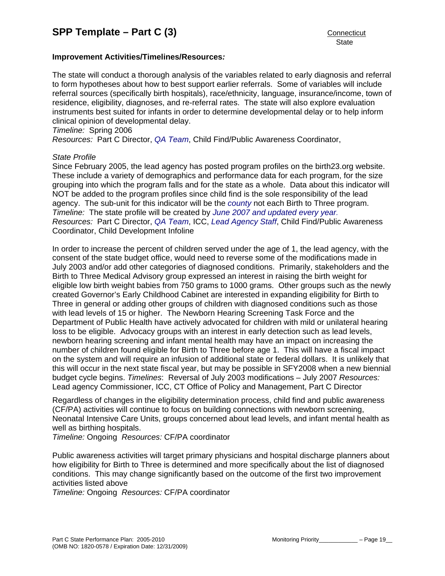## **Improvement Activities/Timelines/Resources***:*

The state will conduct a thorough analysis of the variables related to early diagnosis and referral to form hypotheses about how to best support earlier referrals. Some of variables will include referral sources (specifically birth hospitals), race/ethnicity, language, insurance/income, town of residence, eligibility, diagnoses, and re-referral rates. The state will also explore evaluation instruments best suited for infants in order to determine developmental delay or to help inform clinical opinion of developmental delay.

*Timeline:* Spring 2006

*Resources:* Part C Director, *QA Team*, Child Find/Public Awareness Coordinator,

#### *State Profile*

Since February 2005, the lead agency has posted program profiles on the birth23.org website. These include a variety of demographics and performance data for each program, for the size grouping into which the program falls and for the state as a whole. Data about this indicator will NOT be added to the program profiles since child find is the sole responsibility of the lead agency. The sub-unit for this indicator will be the *county* not each Birth to Three program. *Timeline:* The state profile will be created by *June 2007 and updated every year. Resources:* Part C Director, *QA Team*, ICC, *Lead Agency Staff*, Child Find/Public Awareness Coordinator, Child Development Infoline

In order to increase the percent of children served under the age of 1, the lead agency, with the consent of the state budget office, would need to reverse some of the modifications made in July 2003 and/or add other categories of diagnosed conditions. Primarily, stakeholders and the Birth to Three Medical Advisory group expressed an interest in raising the birth weight for eligible low birth weight babies from 750 grams to 1000 grams. Other groups such as the newly created Governor's Early Childhood Cabinet are interested in expanding eligibility for Birth to Three in general or adding other groups of children with diagnosed conditions such as those with lead levels of 15 or higher. The Newborn Hearing Screening Task Force and the Department of Public Health have actively advocated for children with mild or unilateral hearing loss to be eligible. Advocacy groups with an interest in early detection such as lead levels, newborn hearing screening and infant mental health may have an impact on increasing the number of children found eligible for Birth to Three before age 1. This will have a fiscal impact on the system and will require an infusion of additional state or federal dollars. It is unlikely that this will occur in the next state fiscal year, but may be possible in SFY2008 when a new biennial budget cycle begins. *Timelines*: Reversal of July 2003 modifications – July 2007 *Resources:* Lead agency Commissioner, ICC, CT Office of Policy and Management, Part C Director

Regardless of changes in the eligibility determination process, child find and public awareness (CF/PA) activities will continue to focus on building connections with newborn screening, Neonatal Intensive Care Units, groups concerned about lead levels, and infant mental health as well as birthing hospitals.

*Timeline:* Ongoing *Resources:* CF/PA coordinator

Public awareness activities will target primary physicians and hospital discharge planners about how eligibility for Birth to Three is determined and more specifically about the list of diagnosed conditions. This may change significantly based on the outcome of the first two improvement activities listed above

*Timeline:* Ongoing *Resources:* CF/PA coordinator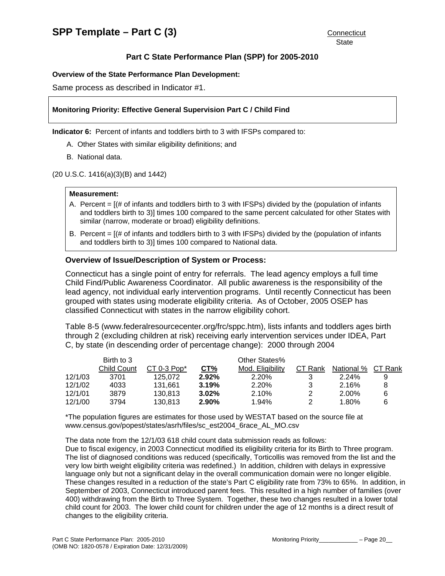#### **Overview of the State Performance Plan Development:**

Same process as described in Indicator #1.

#### **Monitoring Priority: Effective General Supervision Part C / Child Find**

**Indicator 6:** Percent of infants and toddlers birth to 3 with IFSPs compared to:

- A. Other States with similar eligibility definitions; and
- B. National data.

(20 U.S.C. 1416(a)(3)(B) and 1442)

#### **Measurement:**

- A. Percent = [(# of infants and toddlers birth to 3 with IFSPs) divided by the (population of infants and toddlers birth to 3)] times 100 compared to the same percent calculated for other States with similar (narrow, moderate or broad) eligibility definitions.
- B. Percent = [(# of infants and toddlers birth to 3 with IFSPs) divided by the (population of infants and toddlers birth to 3)] times 100 compared to National data.

#### **Overview of Issue/Description of System or Process:**

Connecticut has a single point of entry for referrals. The lead agency employs a full time Child Find/Public Awareness Coordinator. All public awareness is the responsibility of the lead agency, not individual early intervention programs. Until recently Connecticut has been grouped with states using moderate eligibility criteria. As of October, 2005 OSEP has classified Connecticut with states in the narrow eligibility cohort.

Table 8-5 (www.federalresourcecenter.org/frc/sppc.htm), lists infants and toddlers ages birth through 2 (excluding children at risk) receiving early intervention services under IDEA, Part C, by state (in descending order of percentage change): 2000 through 2004

|         | Birth to 3         |               |       | Other States%    |               |            |         |
|---------|--------------------|---------------|-------|------------------|---------------|------------|---------|
|         | <b>Child Count</b> | $CT 0-3 Pop*$ | CT%   | Mod. Eligibility | CT Rank       | National % | CT Rank |
| 12/1/03 | 3701               | 125.072       | 2.92% | 2.20%            |               | $2.24\%$   |         |
| 12/1/02 | 4033               | 131.661       | 3.19% | 2.20%            | 3             | 2.16%      |         |
| 12/1/01 | 3879               | 130.813       | 3.02% | 2.10%            | $\mathcal{P}$ | 2.00%      |         |
| 12/1/00 | 3794               | 130.813       | 2.90% | 1.94%            | $\mathcal{P}$ | 1.80%      |         |

\*The population figures are estimates for those used by WESTAT based on the source file at www.census.gov/popest/states/asrh/files/sc\_est2004\_6race\_AL\_MO.csv

The data note from the 12/1/03 618 child count data submission reads as follows:

Due to fiscal exigency, in 2003 Connecticut modified its eligibility criteria for its Birth to Three program. The list of diagnosed conditions was reduced (specifically, Torticollis was removed from the list and the very low birth weight eligibility criteria was redefined.) In addition, children with delays in expressive language only but not a significant delay in the overall communication domain were no longer eligible. These changes resulted in a reduction of the state's Part C eligibility rate from 73% to 65%. In addition, in September of 2003, Connecticut introduced parent fees. This resulted in a high number of families (over 400) withdrawing from the Birth to Three System. Together, these two changes resulted in a lower total child count for 2003. The lower child count for children under the age of 12 months is a direct result of changes to the eligibility criteria.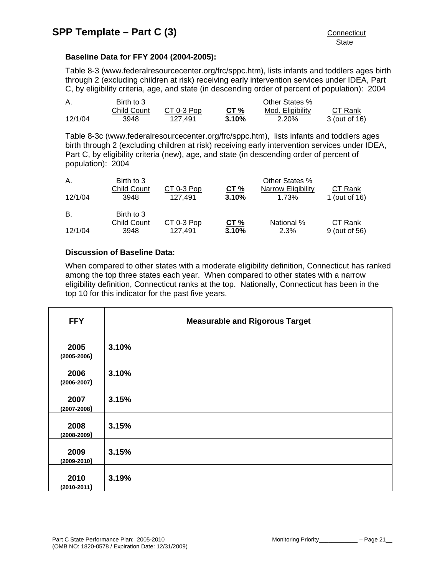## **Baseline Data for FFY 2004 (2004-2005):**

Table 8-3 (www.federalresourcecenter.org/frc/sppc.htm), lists infants and toddlers ages birth through 2 (excluding children at risk) receiving early intervention services under IDEA, Part C, by eligibility criteria, age, and state (in descending order of percent of population): 2004

| А.      | Birth to 3         |            |        | Other States %   |               |
|---------|--------------------|------------|--------|------------------|---------------|
|         | <b>Child Count</b> | CT 0-3 Pop | CT $%$ | Mod. Eligibility | CT Rank       |
| 12/1/04 | 3948               | 127.491    | 3.10%  | 2.20%            | 3 (out of 16) |

Table 8-3c (www.federalresourcecenter.org/frc/sppc.htm), lists infants and toddlers ages birth through 2 (excluding children at risk) receiving early intervention services under IDEA, Part C, by eligibility criteria (new), age, and state (in descending order of percent of population): 2004

| Α.<br>12/1/04 | Birth to 3<br><b>Child Count</b><br>3948 | CT 0-3 Pop<br>127.491 | CT%<br>3.10% | Other States %<br>Narrow Eligibility<br>1.73% | CT Rank<br>1 (out of 16) |
|---------------|------------------------------------------|-----------------------|--------------|-----------------------------------------------|--------------------------|
| В.            | Birth to 3                               |                       |              |                                               |                          |
| 12/1/04       | <b>Child Count</b><br>3948               | CT 0-3 Pop<br>127.491 | CT%<br>3.10% | National %<br>2.3%                            | CT Rank<br>9 (out of 56) |

# **Discussion of Baseline Data:**

When compared to other states with a moderate eligibility definition, Connecticut has ranked among the top three states each year. When compared to other states with a narrow eligibility definition, Connecticut ranks at the top. Nationally, Connecticut has been in the top 10 for this indicator for the past five years.

| <b>FFY</b>              | <b>Measurable and Rigorous Target</b> |
|-------------------------|---------------------------------------|
| 2005<br>$(2005 - 2006)$ | 3.10%                                 |
| 2006<br>$(2006 - 2007)$ | 3.10%                                 |
| 2007<br>$(2007 - 2008)$ | 3.15%                                 |
| 2008<br>$(2008 - 2009)$ | 3.15%                                 |
| 2009<br>$(2009 - 2010)$ | 3.15%                                 |
| 2010<br>$(2010 - 2011)$ | 3.19%                                 |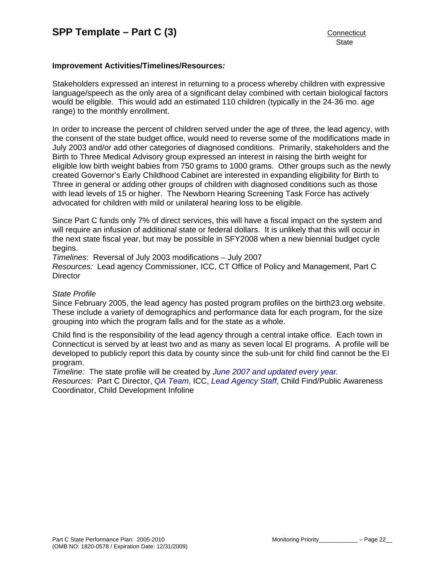#### **Improvement Activities/Timelines/Resources***:*

Stakeholders expressed an interest in returning to a process whereby children with expressive language/speech as the only area of a significant delay combined with certain biological factors would be eligible. This would add an estimated 110 children (typically in the 24-36 mo. age range) to the monthly enrollment.

In order to increase the percent of children served under the age of three, the lead agency, with the consent of the state budget office, would need to reverse some of the modifications made in July 2003 and/or add other categories of diagnosed conditions. Primarily, stakeholders and the Birth to Three Medical Advisory group expressed an interest in raising the birth weight for eligible low birth weight babies from 750 grams to 1000 grams. Other groups such as the newly created Governor's Early Childhood Cabinet are interested in expanding eligibility for Birth to Three in general or adding other groups of children with diagnosed conditions such as those with lead levels of 15 or higher. The Newborn Hearing Screening Task Force has actively advocated for children with mild or unilateral hearing loss to be eligible.

Since Part C funds only 7% of direct services, this will have a fiscal impact on the system and will require an infusion of additional state or federal dollars. It is unlikely that this will occur in the next state fiscal year, but may be possible in SFY2008 when a new biennial budget cycle begins.

*Timelines*: Reversal of July 2003 modifications – July 2007

*Resources:* Lead agency Commissioner, ICC, CT Office of Policy and Management, Part C **Director** 

#### *State Profile*

Since February 2005, the lead agency has posted program profiles on the birth23.org website. These include a variety of demographics and performance data for each program, for the size grouping into which the program falls and for the state as a whole.

Child find is the responsibility of the lead agency through a central intake office. Each town in Connecticut is served by at least two and as many as seven local EI programs. A profile will be developed to publicly report this data by county since the sub-unit for child find cannot be the EI program.

*Timeline:* The state profile will be created by *June 2007 and updated every year.*

*Resources:* Part C Director, *QA Team*, ICC, *Lead Agency Staff*, Child Find/Public Awareness Coordinator, Child Development Infoline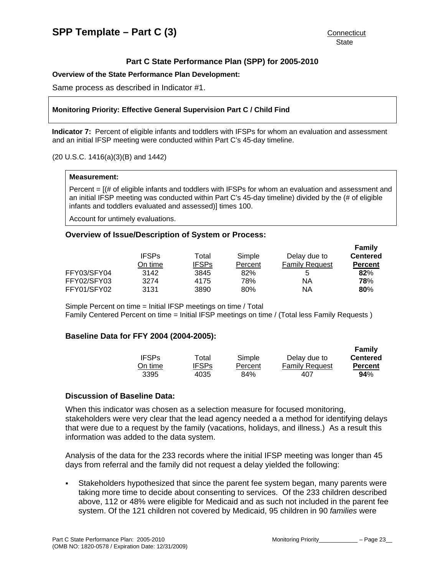#### **Overview of the State Performance Plan Development:**

Same process as described in Indicator #1.

#### **Monitoring Priority: Effective General Supervision Part C / Child Find**

**Indicator 7:** Percent of eligible infants and toddlers with IFSPs for whom an evaluation and assessment and an initial IFSP meeting were conducted within Part C's 45-day timeline.

#### (20 U.S.C. 1416(a)(3)(B) and 1442)

#### **Measurement:**

Percent = [(# of eligible infants and toddlers with IFSPs for whom an evaluation and assessment and an initial IFSP meeting was conducted within Part C's 45-day timeline) divided by the (# of eligible infants and toddlers evaluated and assessed)] times 100.

Account for untimely evaluations.

#### **Overview of Issue/Description of System or Process:**

|             | <b>IFSPs</b> | Total        | Simple  | Delay due to          | Family<br><b>Centered</b> |
|-------------|--------------|--------------|---------|-----------------------|---------------------------|
|             | On time      | <b>IFSPs</b> | Percent | <b>Family Request</b> | <b>Percent</b>            |
| FFY03/SFY04 | 3142         | 3845         | 82%     | 5                     | 82%                       |
| FFY02/SFY03 | 3274         | 4175         | 78%     | ΝA                    | 78%                       |
| FFY01/SFY02 | 3131         | 3890         | 80%     | ΝA                    | 80%                       |

Simple Percent on time = Initial IFSP meetings on time / Total Family Centered Percent on time = Initial IFSP meetings on time / (Total less Family Requests )

#### **Baseline Data for FFY 2004 (2004-2005):**

|              |              |         |                       | Family          |
|--------------|--------------|---------|-----------------------|-----------------|
| <b>IFSPs</b> | Total        | Simple  | Delay due to          | <b>Centered</b> |
| On time.     | <b>IFSPs</b> | Percent | <b>Family Request</b> | <b>Percent</b>  |
| 3395         | 4035         | 84%     | 407                   | 94%             |

#### **Discussion of Baseline Data:**

When this indicator was chosen as a selection measure for focused monitoring, stakeholders were very clear that the lead agency needed a a method for identifying delays that were due to a request by the family (vacations, holidays, and illness.) As a result this information was added to the data system.

Analysis of the data for the 233 records where the initial IFSP meeting was longer than 45 days from referral and the family did not request a delay yielded the following:

 Stakeholders hypothesized that since the parent fee system began, many parents were taking more time to decide about consenting to services. Of the 233 children described above, 112 or 48% were eligible for Medicaid and as such not included in the parent fee system. Of the 121 children not covered by Medicaid, 95 children in 90 *families* were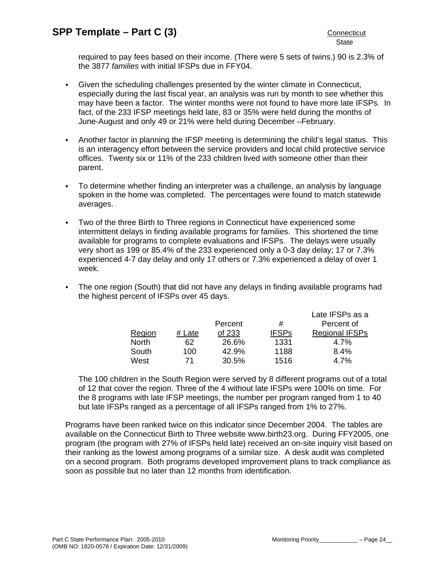required to pay fees based on their income. (There were 5 sets of twins.) 90 is 2.3% of the 3877 *families* with initial IFSPs due in FFY04.

- Given the scheduling challenges presented by the winter climate in Connecticut, especially during the last fiscal year, an analysis was run by month to see whether this may have been a factor. The winter months were not found to have more late IFSPs. In fact, of the 233 IFSP meetings held late, 83 or 35% were held during the months of June-August and only 49 or 21% were held during December –February.
- Another factor in planning the IFSP meeting is determining the child's legal status. This is an interagency effort between the service providers and local child protective service offices. Twenty six or 11% of the 233 children lived with someone other than their parent.
- To determine whether finding an interpreter was a challenge, an analysis by language spoken in the home was completed. The percentages were found to match statewide averages.
- Two of the three Birth to Three regions in Connecticut have experienced some intermittent delays in finding available programs for families. This shortened the time available for programs to complete evaluations and IFSPs. The delays were usually very short as 199 or 85.4% of the 233 experienced only a 0-3 day delay; 17 or 7.3% experienced 4-7 day delay and only 17 others or 7.3% experienced a delay of over 1 week.
- The one region (South) that did not have any delays in finding available programs had the highest percent of IFSPs over 45 days.

|              |        |         |              | Late IFSPs as a       |
|--------------|--------|---------|--------------|-----------------------|
|              |        | Percent | #            | Percent of            |
| Region       | # Late | of 233  | <b>IFSPs</b> | <b>Regional IFSPs</b> |
| <b>North</b> | 62     | 26.6%   | 1331         | 4.7%                  |
| South        | 100    | 42.9%   | 1188         | 8.4%                  |
| West         | 71     | 30.5%   | 1516         | 4.7%                  |

The 100 children in the South Region were served by 8 different programs out of a total of 12 that cover the region. Three of the 4 without late IFSPs were 100% on time. For the 8 programs with late IFSP meetings, the number per program ranged from 1 to 40 but late IFSPs ranged as a percentage of all IFSPs ranged from 1% to 27%.

Programs have been ranked twice on this indicator since December 2004. The tables are available on the Connecticut Birth to Three website www.birth23.org. During FFY2005, one program (the program with 27% of IFSPs held late) received an on-site inquiry visit based on their ranking as the lowest among programs of a similar size. A desk audit was completed on a second program. Both programs developed improvement plans to track compliance as soon as possible but no later than 12 months from identification.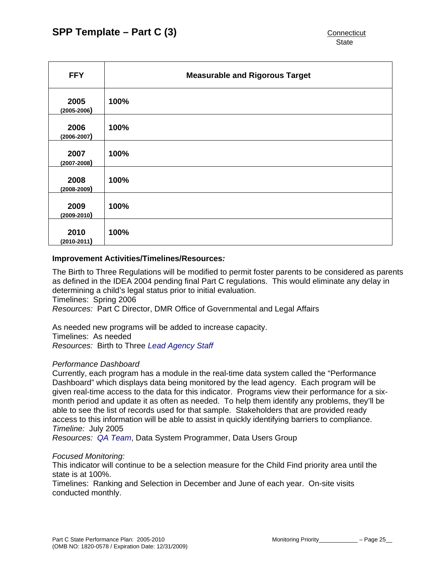| <b>FFY</b>              | <b>Measurable and Rigorous Target</b> |
|-------------------------|---------------------------------------|
| 2005<br>$(2005 - 2006)$ | 100%                                  |
| 2006<br>$(2006 - 2007)$ | 100%                                  |
| 2007<br>$(2007 - 2008)$ | 100%                                  |
| 2008<br>$(2008 - 2009)$ | 100%                                  |
| 2009<br>$(2009 - 2010)$ | 100%                                  |
| 2010<br>$(2010 - 2011)$ | 100%                                  |

#### **Improvement Activities/Timelines/Resources***:*

The Birth to Three Regulations will be modified to permit foster parents to be considered as parents as defined in the IDEA 2004 pending final Part C regulations. This would eliminate any delay in determining a child's legal status prior to initial evaluation. Timelines: Spring 2006

*Resources:* Part C Director, DMR Office of Governmental and Legal Affairs

As needed new programs will be added to increase capacity. Timelines: As needed *Resources:* Birth to Three *Lead Agency Staff*

#### *Performance Dashboard*

Currently, each program has a module in the real-time data system called the "Performance Dashboard" which displays data being monitored by the lead agency. Each program will be given real-time access to the data for this indicator. Programs view their performance for a sixmonth period and update it as often as needed. To help them identify any problems, they'll be able to see the list of records used for that sample. Stakeholders that are provided ready access to this information will be able to assist in quickly identifying barriers to compliance. *Timeline:* July 2005

*Resources: QA Team*, Data System Programmer, Data Users Group

#### *Focused Monitoring:*

This indicator will continue to be a selection measure for the Child Find priority area until the state is at 100%.

Timelines: Ranking and Selection in December and June of each year. On-site visits conducted monthly.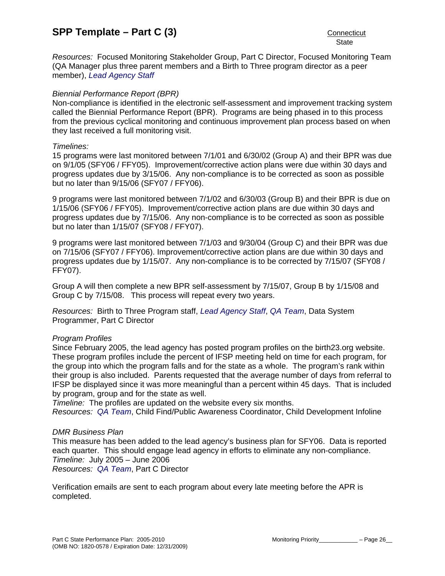*Resources:* Focused Monitoring Stakeholder Group, Part C Director, Focused Monitoring Team (QA Manager plus three parent members and a Birth to Three program director as a peer member), *Lead Agency Staff*

## *Biennial Performance Report (BPR)*

Non-compliance is identified in the electronic self-assessment and improvement tracking system called the Biennial Performance Report (BPR). Programs are being phased in to this process from the previous cyclical monitoring and continuous improvement plan process based on when they last received a full monitoring visit.

#### *Timelines:*

15 programs were last monitored between 7/1/01 and 6/30/02 (Group A) and their BPR was due on 9/1/05 (SFY06 / FFY05). Improvement/corrective action plans were due within 30 days and progress updates due by 3/15/06. Any non-compliance is to be corrected as soon as possible but no later than 9/15/06 (SFY07 / FFY06).

9 programs were last monitored between 7/1/02 and 6/30/03 (Group B) and their BPR is due on 1/15/06 (SFY06 / FFY05). Improvement/corrective action plans are due within 30 days and progress updates due by 7/15/06. Any non-compliance is to be corrected as soon as possible but no later than 1/15/07 (SFY08 / FFY07).

9 programs were last monitored between 7/1/03 and 9/30/04 (Group C) and their BPR was due on 7/15/06 (SFY07 / FFY06). Improvement/corrective action plans are due within 30 days and progress updates due by 1/15/07. Any non-compliance is to be corrected by 7/15/07 (SFY08 / FFY07).

Group A will then complete a new BPR self-assessment by 7/15/07, Group B by 1/15/08 and Group C by 7/15/08. This process will repeat every two years.

*Resources:* Birth to Three Program staff, *Lead Agency Staff*, *QA Team*, Data System Programmer, Part C Director

#### *Program Profiles*

Since February 2005, the lead agency has posted program profiles on the birth23.org website. These program profiles include the percent of IFSP meeting held on time for each program, for the group into which the program falls and for the state as a whole. The program's rank within their group is also included. Parents requested that the average number of days from referral to IFSP be displayed since it was more meaningful than a percent within 45 days. That is included by program, group and for the state as well.

*Timeline:* The profiles are updated on the website every six months.

*Resources: QA Team*, Child Find/Public Awareness Coordinator, Child Development Infoline

#### *DMR Business Plan*

This measure has been added to the lead agency's business plan for SFY06. Data is reported each quarter. This should engage lead agency in efforts to eliminate any non-compliance. *Timeline:* July 2005 – June 2006 *Resources: QA Team*, Part C Director

Verification emails are sent to each program about every late meeting before the APR is completed.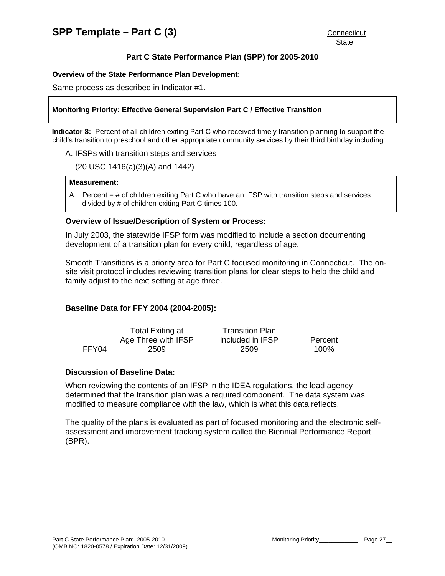## **Overview of the State Performance Plan Development:**

Same process as described in Indicator #1.

## **Monitoring Priority: Effective General Supervision Part C / Effective Transition**

**Indicator 8:** Percent of all children exiting Part C who received timely transition planning to support the child's transition to preschool and other appropriate community services by their third birthday including:

A. IFSPs with transition steps and services

(20 USC 1416(a)(3)(A) and 1442)

#### **Measurement:**

A. Percent  $=$  # of children exiting Part C who have an IFSP with transition steps and services divided by # of children exiting Part C times 100.

## **Overview of Issue/Description of System or Process:**

In July 2003, the statewide IFSP form was modified to include a section documenting development of a transition plan for every child, regardless of age.

Smooth Transitions is a priority area for Part C focused monitoring in Connecticut. The onsite visit protocol includes reviewing transition plans for clear steps to help the child and family adjust to the next setting at age three.

# **Baseline Data for FFY 2004 (2004-2005):**

|       | Total Exiting at    | <b>Transition Plan</b> |         |
|-------|---------------------|------------------------|---------|
|       | Age Three with IFSP | included in IFSP       | Percent |
| FFY04 | 2509                | 2509                   | 100%    |

## **Discussion of Baseline Data:**

When reviewing the contents of an IFSP in the IDEA regulations, the lead agency determined that the transition plan was a required component. The data system was modified to measure compliance with the law, which is what this data reflects.

The quality of the plans is evaluated as part of focused monitoring and the electronic selfassessment and improvement tracking system called the Biennial Performance Report (BPR).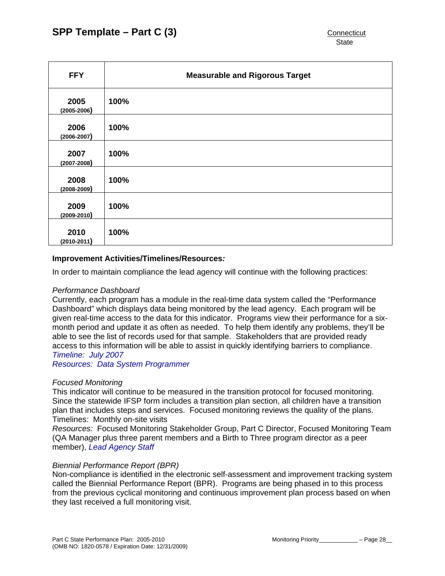| <b>FFY</b>              | <b>Measurable and Rigorous Target</b> |
|-------------------------|---------------------------------------|
| 2005<br>$(2005 - 2006)$ | 100%                                  |
| 2006<br>$(2006 - 2007)$ | 100%                                  |
| 2007<br>$(2007 - 2008)$ | 100%                                  |
| 2008<br>$(2008 - 2009)$ | 100%                                  |
| 2009<br>$(2009 - 2010)$ | 100%                                  |
| 2010<br>$(2010 - 2011)$ | 100%                                  |

## **Improvement Activities/Timelines/Resources***:*

In order to maintain compliance the lead agency will continue with the following practices:

#### *Performance Dashboard*

Currently, each program has a module in the real-time data system called the "Performance Dashboard" which displays data being monitored by the lead agency. Each program will be given real-time access to the data for this indicator. Programs view their performance for a sixmonth period and update it as often as needed. To help them identify any problems, they'll be able to see the list of records used for that sample. Stakeholders that are provided ready access to this information will be able to assist in quickly identifying barriers to compliance. *Timeline: July 2007*

*Resources: Data System Programmer* 

#### *Focused Monitoring*

This indicator will continue to be measured in the transition protocol for focused monitoring. Since the statewide IFSP form includes a transition plan section, all children have a transition plan that includes steps and services. Focused monitoring reviews the quality of the plans. Timelines: Monthly on-site visits

*Resources:* Focused Monitoring Stakeholder Group, Part C Director, Focused Monitoring Team (QA Manager plus three parent members and a Birth to Three program director as a peer member), *Lead Agency Staff*

#### *Biennial Performance Report (BPR)*

Non-compliance is identified in the electronic self-assessment and improvement tracking system called the Biennial Performance Report (BPR). Programs are being phased in to this process from the previous cyclical monitoring and continuous improvement plan process based on when they last received a full monitoring visit.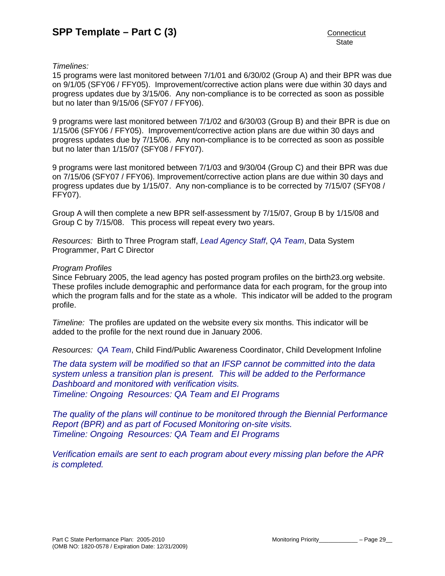# *Timelines:*

15 programs were last monitored between 7/1/01 and 6/30/02 (Group A) and their BPR was due on 9/1/05 (SFY06 / FFY05). Improvement/corrective action plans were due within 30 days and progress updates due by 3/15/06. Any non-compliance is to be corrected as soon as possible but no later than 9/15/06 (SFY07 / FFY06).

9 programs were last monitored between 7/1/02 and 6/30/03 (Group B) and their BPR is due on 1/15/06 (SFY06 / FFY05). Improvement/corrective action plans are due within 30 days and progress updates due by 7/15/06. Any non-compliance is to be corrected as soon as possible but no later than 1/15/07 (SFY08 / FFY07).

9 programs were last monitored between 7/1/03 and 9/30/04 (Group C) and their BPR was due on 7/15/06 (SFY07 / FFY06). Improvement/corrective action plans are due within 30 days and progress updates due by 1/15/07. Any non-compliance is to be corrected by 7/15/07 (SFY08 / FFY07).

Group A will then complete a new BPR self-assessment by 7/15/07, Group B by 1/15/08 and Group C by 7/15/08. This process will repeat every two years.

*Resources:* Birth to Three Program staff, *Lead Agency Staff*, *QA Team*, Data System Programmer, Part C Director

#### *Program Profiles*

Since February 2005, the lead agency has posted program profiles on the birth23.org website. These profiles include demographic and performance data for each program, for the group into which the program falls and for the state as a whole. This indicator will be added to the program profile.

*Timeline:* The profiles are updated on the website every six months. This indicator will be added to the profile for the next round due in January 2006.

*Resources: QA Team*, Child Find/Public Awareness Coordinator, Child Development Infoline

*The data system will be modified so that an IFSP cannot be committed into the data system unless a transition plan is present. This will be added to the Performance Dashboard and monitored with verification visits. Timeline: Ongoing Resources: QA Team and EI Programs* 

*The quality of the plans will continue to be monitored through the Biennial Performance Report (BPR) and as part of Focused Monitoring on-site visits. Timeline: Ongoing Resources: QA Team and EI Programs* 

*Verification emails are sent to each program about every missing plan before the APR is completed.*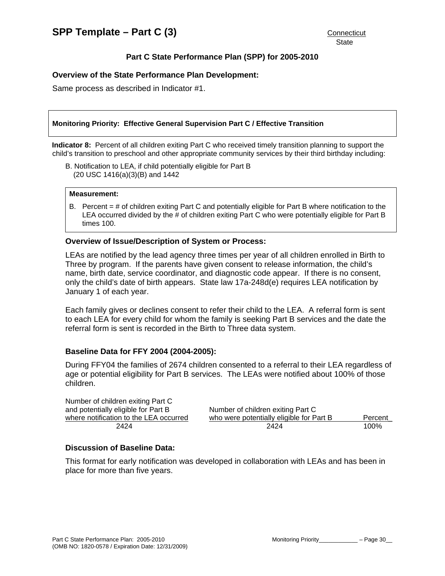## **Overview of the State Performance Plan Development:**

Same process as described in Indicator #1.

#### **Monitoring Priority: Effective General Supervision Part C / Effective Transition**

**Indicator 8:** Percent of all children exiting Part C who received timely transition planning to support the child's transition to preschool and other appropriate community services by their third birthday including:

B. Notification to LEA, if child potentially eligible for Part B (20 USC 1416(a)(3)(B) and 1442

#### **Measurement:**

B. Percent = # of children exiting Part C and potentially eligible for Part B where notification to the LEA occurred divided by the # of children exiting Part C who were potentially eligible for Part B times 100.

#### **Overview of Issue/Description of System or Process:**

LEAs are notified by the lead agency three times per year of all children enrolled in Birth to Three by program. If the parents have given consent to release information, the child's name, birth date, service coordinator, and diagnostic code appear. If there is no consent, only the child's date of birth appears. State law 17a-248d(e) requires LEA notification by January 1 of each year.

Each family gives or declines consent to refer their child to the LEA. A referral form is sent to each LEA for every child for whom the family is seeking Part B services and the date the referral form is sent is recorded in the Birth to Three data system.

#### **Baseline Data for FFY 2004 (2004-2005):**

During FFY04 the families of 2674 children consented to a referral to their LEA regardless of age or potential eligibility for Part B services. The LEAs were notified about 100% of those children.

| Number of children exiting Part C      |                                          |         |
|----------------------------------------|------------------------------------------|---------|
| and potentially eligible for Part B    | Number of children exiting Part C        |         |
| where notification to the LEA occurred | who were potentially eligible for Part B | Percent |
| 2424                                   | 2424                                     | 100%    |

#### **Discussion of Baseline Data:**

This format for early notification was developed in collaboration with LEAs and has been in place for more than five years.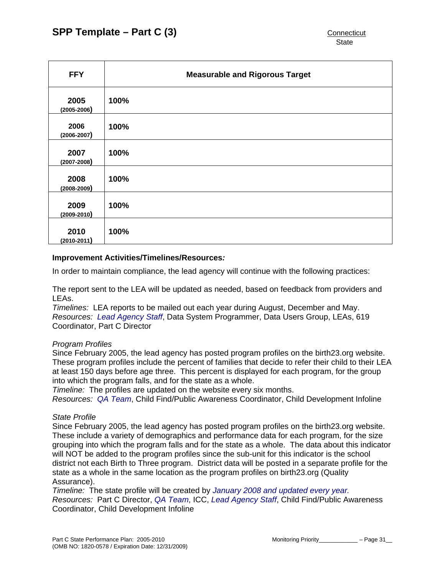| <b>FFY</b>              | <b>Measurable and Rigorous Target</b> |
|-------------------------|---------------------------------------|
| 2005<br>$(2005 - 2006)$ | 100%                                  |
| 2006<br>$(2006 - 2007)$ | 100%                                  |
| 2007<br>$(2007 - 2008)$ | 100%                                  |
| 2008<br>$(2008 - 2009)$ | 100%                                  |
| 2009<br>$(2009 - 2010)$ | 100%                                  |
| 2010<br>$(2010 - 2011)$ | 100%                                  |

#### **Improvement Activities/Timelines/Resources***:*

In order to maintain compliance, the lead agency will continue with the following practices:

The report sent to the LEA will be updated as needed, based on feedback from providers and LEAs.

*Timelines:* LEA reports to be mailed out each year during August, December and May. *Resources: Lead Agency Staff*, Data System Programmer, Data Users Group, LEAs, 619 Coordinator, Part C Director

#### *Program Profiles*

Since February 2005, the lead agency has posted program profiles on the birth23.org website. These program profiles include the percent of families that decide to refer their child to their LEA at least 150 days before age three. This percent is displayed for each program, for the group into which the program falls, and for the state as a whole.

*Timeline:* The profiles are updated on the website every six months.

*Resources: QA Team*, Child Find/Public Awareness Coordinator, Child Development Infoline

#### *State Profile*

Since February 2005, the lead agency has posted program profiles on the birth23.org website. These include a variety of demographics and performance data for each program, for the size grouping into which the program falls and for the state as a whole. The data about this indicator will NOT be added to the program profiles since the sub-unit for this indicator is the school district not each Birth to Three program. District data will be posted in a separate profile for the state as a whole in the same location as the program profiles on birth23.org (Quality Assurance).

*Timeline:* The state profile will be created by *January 2008 and updated every year. Resources:* Part C Director, *QA Team*, ICC, *Lead Agency Staff*, Child Find/Public Awareness Coordinator, Child Development Infoline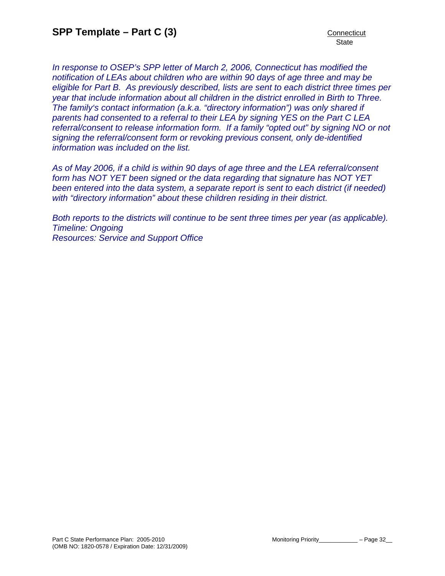*In response to OSEP's SPP letter of March 2, 2006, Connecticut has modified the notification of LEAs about children who are within 90 days of age three and may be eligible for Part B. As previously described, lists are sent to each district three times per year that include information about all children in the district enrolled in Birth to Three. The family's contact information (a.k.a. "directory information") was only shared if parents had consented to a referral to their LEA by signing YES on the Part C LEA referral/consent to release information form. If a family "opted out" by signing NO or not signing the referral/consent form or revoking previous consent, only de-identified information was included on the list.* 

*As of May 2006, if a child is within 90 days of age three and the LEA referral/consent form has NOT YET been signed or the data regarding that signature has NOT YET been entered into the data system, a separate report is sent to each district (if needed) with "directory information" about these children residing in their district.* 

*Both reports to the districts will continue to be sent three times per year (as applicable). Timeline: Ongoing Resources: Service and Support Office*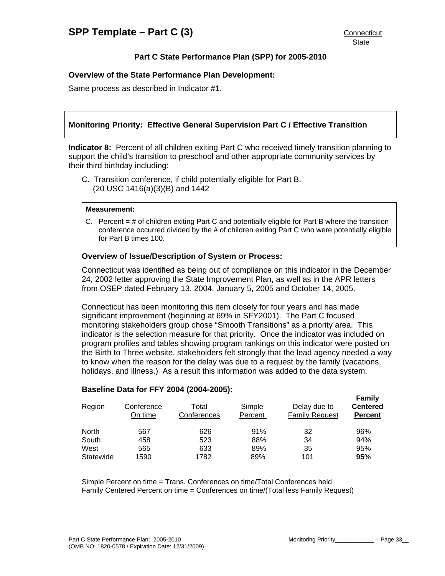## **Overview of the State Performance Plan Development:**

Same process as described in Indicator #1.

## **Monitoring Priority: Effective General Supervision Part C / Effective Transition**

**Indicator 8:** Percent of all children exiting Part C who received timely transition planning to support the child's transition to preschool and other appropriate community services by their third birthday including:

C. Transition conference, if child potentially eligible for Part B. (20 USC 1416(a)(3)(B) and 1442

#### **Measurement:**

C. Percent = # of children exiting Part C and potentially eligible for Part B where the transition conference occurred divided by the # of children exiting Part C who were potentially eligible for Part B times 100.

#### **Overview of Issue/Description of System or Process:**

Connecticut was identified as being out of compliance on this indicator in the December 24, 2002 letter approving the State Improvement Plan, as well as in the APR letters from OSEP dated February 13, 2004, January 5, 2005 and October 14, 2005.

Connecticut has been monitoring this item closely for four years and has made significant improvement (beginning at 69% in SFY2001). The Part C focused monitoring stakeholders group chose "Smooth Transitions" as a priority area. This indicator is the selection measure for that priority. Once the indicator was included on program profiles and tables showing program rankings on this indicator were posted on the Birth to Three website, stakeholders felt strongly that the lead agency needed a way to know when the reason for the delay was due to a request by the family (vacations, holidays, and illness.) As a result this information was added to the data system.

# **Family**

**Baseline Data for FFY 2004 (2004-2005):** 

| Region    | Conference<br>On time | Total<br>Conferences | Simple<br>Percent | Delay due to<br><b>Family Request</b> | <b>Centered</b><br><b>Percent</b> |
|-----------|-----------------------|----------------------|-------------------|---------------------------------------|-----------------------------------|
| North     | 567                   | 626                  | 91%               | 32                                    | 96%                               |
| South     | 458                   | 523                  | 88%               | 34                                    | 94%                               |
| West      | 565                   | 633                  | 89%               | 35                                    | 95%                               |
| Statewide | 1590                  | 1782                 | 89%               | 101                                   | 95%                               |

Simple Percent on time = Trans. Conferences on time/Total Conferences held Family Centered Percent on time = Conferences on time/(Total less Family Request)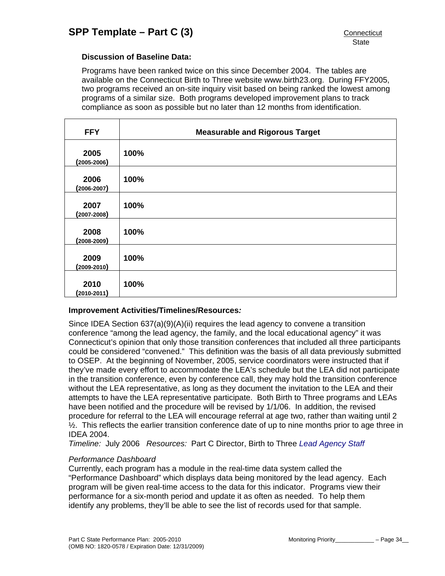## **Discussion of Baseline Data:**

Programs have been ranked twice on this since December 2004. The tables are available on the Connecticut Birth to Three website www.birth23.org. During FFY2005, two programs received an on-site inquiry visit based on being ranked the lowest among programs of a similar size. Both programs developed improvement plans to track compliance as soon as possible but no later than 12 months from identification.

| <b>FFY</b>              | <b>Measurable and Rigorous Target</b> |
|-------------------------|---------------------------------------|
| 2005<br>$(2005 - 2006)$ | 100%                                  |
| 2006<br>$(2006 - 2007)$ | 100%                                  |
| 2007<br>$(2007 - 2008)$ | 100%                                  |
| 2008<br>$(2008 - 2009)$ | 100%                                  |
| 2009<br>$(2009 - 2010)$ | 100%                                  |
| 2010<br>$(2010 - 2011)$ | 100%                                  |

#### **Improvement Activities/Timelines/Resources***:*

Since IDEA Section 637(a)(9)(A)(ii) requires the lead agency to convene a transition conference "among the lead agency, the family, and the local educational agency" it was Connecticut's opinion that only those transition conferences that included all three participants could be considered "convened." This definition was the basis of all data previously submitted to OSEP. At the beginning of November, 2005, service coordinators were instructed that if they've made every effort to accommodate the LEA's schedule but the LEA did not participate in the transition conference, even by conference call, they may hold the transition conference without the LEA representative, as long as they document the invitation to the LEA and their attempts to have the LEA representative participate. Both Birth to Three programs and LEAs have been notified and the procedure will be revised by 1/1/06. In addition, the revised procedure for referral to the LEA will encourage referral at age two, rather than waiting until 2  $\frac{1}{2}$ . This reflects the earlier transition conference date of up to nine months prior to age three in IDEA 2004.

*Timeline:* July 2006 *Resources:* Part C Director, Birth to Three *Lead Agency Staff*

#### *Performance Dashboard*

Currently, each program has a module in the real-time data system called the "Performance Dashboard" which displays data being monitored by the lead agency. Each program will be given real-time access to the data for this indicator. Programs view their performance for a six-month period and update it as often as needed. To help them identify any problems, they'll be able to see the list of records used for that sample.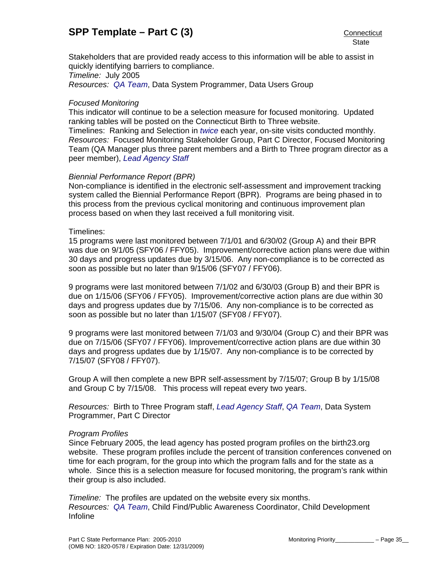Stakeholders that are provided ready access to this information will be able to assist in quickly identifying barriers to compliance. *Timeline:* July 2005

*Resources: QA Team*, Data System Programmer, Data Users Group

## *Focused Monitoring*

This indicator will continue to be a selection measure for focused monitoring. Updated ranking tables will be posted on the Connecticut Birth to Three website. Timelines: Ranking and Selection in *twice* each year, on-site visits conducted monthly. *Resources:* Focused Monitoring Stakeholder Group, Part C Director, Focused Monitoring Team (QA Manager plus three parent members and a Birth to Three program director as a peer member), *Lead Agency Staff*

# *Biennial Performance Report (BPR)*

Non-compliance is identified in the electronic self-assessment and improvement tracking system called the Biennial Performance Report (BPR). Programs are being phased in to this process from the previous cyclical monitoring and continuous improvement plan process based on when they last received a full monitoring visit.

#### Timelines:

15 programs were last monitored between 7/1/01 and 6/30/02 (Group A) and their BPR was due on 9/1/05 (SFY06 / FFY05). Improvement/corrective action plans were due within 30 days and progress updates due by 3/15/06. Any non-compliance is to be corrected as soon as possible but no later than 9/15/06 (SFY07 / FFY06).

9 programs were last monitored between 7/1/02 and 6/30/03 (Group B) and their BPR is due on 1/15/06 (SFY06 / FFY05). Improvement/corrective action plans are due within 30 days and progress updates due by 7/15/06. Any non-compliance is to be corrected as soon as possible but no later than 1/15/07 (SFY08 / FFY07).

9 programs were last monitored between 7/1/03 and 9/30/04 (Group C) and their BPR was due on 7/15/06 (SFY07 / FFY06). Improvement/corrective action plans are due within 30 days and progress updates due by 1/15/07. Any non-compliance is to be corrected by 7/15/07 (SFY08 / FFY07).

Group A will then complete a new BPR self-assessment by 7/15/07; Group B by 1/15/08 and Group C by 7/15/08. This process will repeat every two years.

*Resources:* Birth to Three Program staff, *Lead Agency Staff*, *QA Team*, Data System Programmer, Part C Director

#### *Program Profiles*

Since February 2005, the lead agency has posted program profiles on the birth23.org website. These program profiles include the percent of transition conferences convened on time for each program, for the group into which the program falls and for the state as a whole. Since this is a selection measure for focused monitoring, the program's rank within their group is also included.

*Timeline:* The profiles are updated on the website every six months. *Resources: QA Team*, Child Find/Public Awareness Coordinator, Child Development Infoline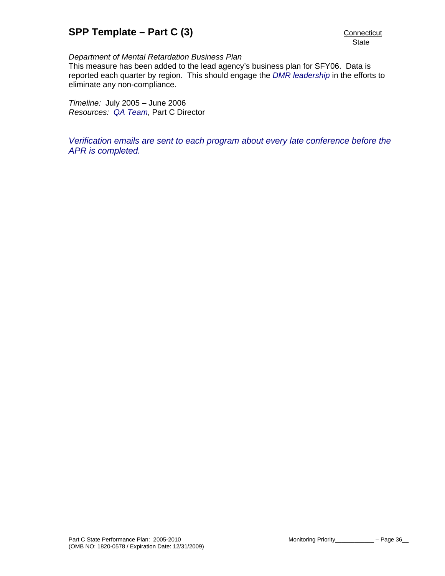## *Department of Mental Retardation Business Plan*

This measure has been added to the lead agency's business plan for SFY06. Data is reported each quarter by region. This should engage the *DMR leadership* in the efforts to eliminate any non-compliance.

*Timeline:* July 2005 – June 2006 *Resources: QA Team*, Part C Director

*Verification emails are sent to each program about every late conference before the APR is completed.*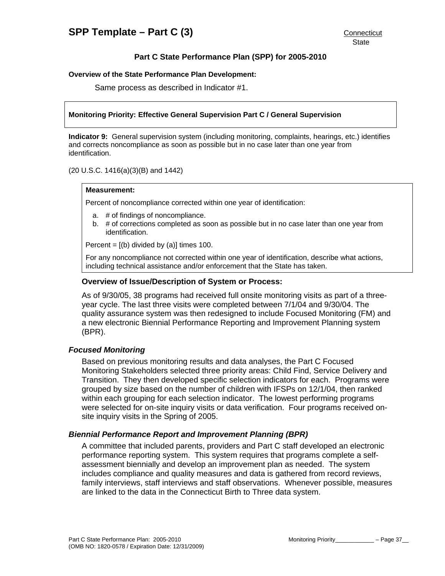#### **Overview of the State Performance Plan Development:**

Same process as described in Indicator #1.

#### **Monitoring Priority: Effective General Supervision Part C / General Supervision**

**Indicator 9:** General supervision system (including monitoring, complaints, hearings, etc.) identifies and corrects noncompliance as soon as possible but in no case later than one year from identification.

(20 U.S.C. 1416(a)(3)(B) and 1442)

#### **Measurement:**

Percent of noncompliance corrected within one year of identification:

- a. # of findings of noncompliance.
- b. # of corrections completed as soon as possible but in no case later than one year from identification.

Percent =  $[(b)$  divided by  $(a)]$  times 100.

For any noncompliance not corrected within one year of identification, describe what actions, including technical assistance and/or enforcement that the State has taken.

#### **Overview of Issue/Description of System or Process:**

As of 9/30/05, 38 programs had received full onsite monitoring visits as part of a threeyear cycle. The last three visits were completed between 7/1/04 and 9/30/04. The quality assurance system was then redesigned to include Focused Monitoring (FM) and a new electronic Biennial Performance Reporting and Improvement Planning system (BPR).

### *Focused Monitoring*

Based on previous monitoring results and data analyses, the Part C Focused Monitoring Stakeholders selected three priority areas: Child Find, Service Delivery and Transition. They then developed specific selection indicators for each. Programs were grouped by size based on the number of children with IFSPs on 12/1/04, then ranked within each grouping for each selection indicator. The lowest performing programs were selected for on-site inquiry visits or data verification. Four programs received onsite inquiry visits in the Spring of 2005.

#### *Biennial Performance Report and Improvement Planning (BPR)*

A committee that included parents, providers and Part C staff developed an electronic performance reporting system. This system requires that programs complete a selfassessment biennially and develop an improvement plan as needed. The system includes compliance and quality measures and data is gathered from record reviews, family interviews, staff interviews and staff observations. Whenever possible, measures are linked to the data in the Connecticut Birth to Three data system.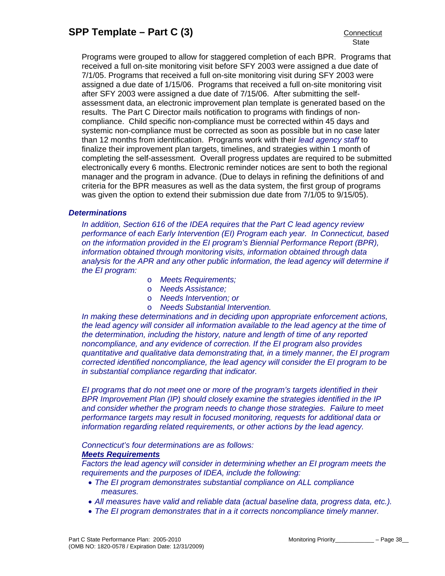Programs were grouped to allow for staggered completion of each BPR. Programs that received a full on-site monitoring visit before SFY 2003 were assigned a due date of 7/1/05. Programs that received a full on-site monitoring visit during SFY 2003 were assigned a due date of 1/15/06. Programs that received a full on-site monitoring visit after SFY 2003 were assigned a due date of 7/15/06. After submitting the selfassessment data, an electronic improvement plan template is generated based on the results. The Part C Director mails notification to programs with findings of noncompliance. Child specific non-compliance must be corrected within 45 days and systemic non-compliance must be corrected as soon as possible but in no case later than 12 months from identification. Programs work with their *lead agency staff* to finalize their improvement plan targets, timelines, and strategies within 1 month of completing the self-assessment. Overall progress updates are required to be submitted electronically every 6 months. Electronic reminder notices are sent to both the regional manager and the program in advance. (Due to delays in refining the definitions of and criteria for the BPR measures as well as the data system, the first group of programs was given the option to extend their submission due date from 7/1/05 to 9/15/05).

#### *Determinations*

*In addition, Section 616 of the IDEA requires that the Part C lead agency review performance of each Early Intervention (EI) Program each year. In Connecticut, based on the information provided in the EI program's Biennial Performance Report (BPR), information obtained through monitoring visits, information obtained through data analysis for the APR and any other public information, the lead agency will determine if the EI program:* 

- o *Meets Requirements;*
- o *Needs Assistance;*
- o *Needs Intervention; or*
- o *Needs Substantial Intervention.*

*In making these determinations and in deciding upon appropriate enforcement actions, the lead agency will consider all information available to the lead agency at the time of the determination, including the history, nature and length of time of any reported noncompliance, and any evidence of correction. If the EI program also provides quantitative and qualitative data demonstrating that, in a timely manner, the EI program corrected identified noncompliance, the lead agency will consider the EI program to be in substantial compliance regarding that indicator.* 

*EI programs that do not meet one or more of the program's targets identified in their BPR Improvement Plan (IP) should closely examine the strategies identified in the IP and consider whether the program needs to change those strategies. Failure to meet performance targets may result in focused monitoring, requests for additional data or information regarding related requirements, or other actions by the lead agency.* 

*Connecticut's four determinations are as follows:* 

#### *Meets Requirements*

*Factors the lead agency will consider in determining whether an EI program meets the requirements and the purposes of IDEA, include the following:* 

- *The EI program demonstrates substantial compliance on ALL compliance measures.*
- *All measures have valid and reliable data (actual baseline data, progress data, etc.).*
- *The EI program demonstrates that in a it corrects noncompliance timely manner.*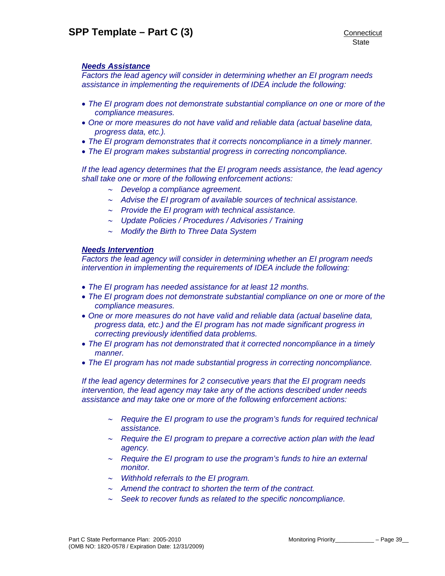## *Needs Assistance*

*Factors the lead agency will consider in determining whether an EI program needs assistance in implementing the requirements of IDEA include the following:* 

- *The EI program does not demonstrate substantial compliance on one or more of the compliance measures.*
- *One or more measures do not have valid and reliable data (actual baseline data, progress data, etc.).*
- *The EI program demonstrates that it corrects noncompliance in a timely manner.*
- *The EI program makes substantial progress in correcting noncompliance.*

*If the lead agency determines that the EI program needs assistance, the lead agency shall take one or more of the following enforcement actions:* 

- ∼ *Develop a compliance agreement.*
- ∼ *Advise the EI program of available sources of technical assistance.*
- ∼ *Provide the EI program with technical assistance.*
- ∼ *Update Policies / Procedures / Advisories / Training*
- ∼ *Modify the Birth to Three Data System*

# *Needs Intervention*

*Factors the lead agency will consider in determining whether an EI program needs intervention in implementing the requirements of IDEA include the following:* 

- *The EI program has needed assistance for at least 12 months.*
- *The EI program does not demonstrate substantial compliance on one or more of the compliance measures.*
- *One or more measures do not have valid and reliable data (actual baseline data, progress data, etc.) and the EI program has not made significant progress in correcting previously identified data problems.*
- *The EI program has not demonstrated that it corrected noncompliance in a timely manner.*
- *The EI program has not made substantial progress in correcting noncompliance.*

*If the lead agency determines for 2 consecutive years that the EI program needs intervention, the lead agency may take any of the actions described under needs assistance and may take one or more of the following enforcement actions:* 

- ∼ *Require the EI program to use the program's funds for required technical assistance.*
- ∼ *Require the EI program to prepare a corrective action plan with the lead agency.*
- ∼ *Require the EI program to use the program's funds to hire an external monitor.*
- ∼ *Withhold referrals to the EI program.*
- ∼ *Amend the contract to shorten the term of the contract.*
- ∼ *Seek to recover funds as related to the specific noncompliance.*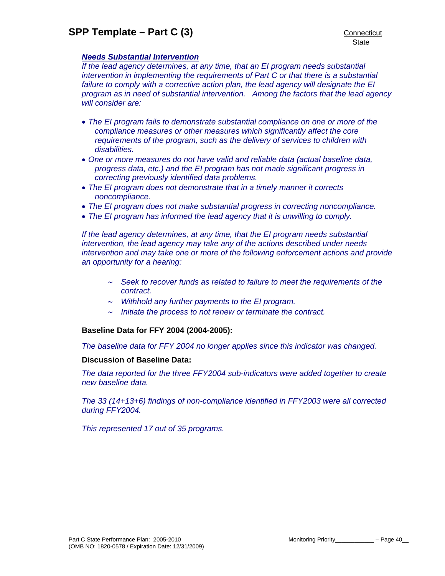## *Needs Substantial Intervention*

*If the lead agency determines, at any time, that an EI program needs substantial intervention in implementing the requirements of Part C or that there is a substantial failure to comply with a corrective action plan, the lead agency will designate the EI program as in need of substantial intervention. Among the factors that the lead agency will consider are:* 

- *The EI program fails to demonstrate substantial compliance on one or more of the compliance measures or other measures which significantly affect the core requirements of the program, such as the delivery of services to children with disabilities.*
- *One or more measures do not have valid and reliable data (actual baseline data, progress data, etc.) and the EI program has not made significant progress in correcting previously identified data problems.*
- *The EI program does not demonstrate that in a timely manner it corrects noncompliance.*
- *The EI program does not make substantial progress in correcting noncompliance.*
- *The EI program has informed the lead agency that it is unwilling to comply.*

*If the lead agency determines, at any time, that the EI program needs substantial intervention, the lead agency may take any of the actions described under needs intervention and may take one or more of the following enforcement actions and provide an opportunity for a hearing:* 

- ∼ *Seek to recover funds as related to failure to meet the requirements of the contract.*
- ∼ *Withhold any further payments to the EI program.*
- ∼ *Initiate the process to not renew or terminate the contract.*

#### **Baseline Data for FFY 2004 (2004-2005):**

*The baseline data for FFY 2004 no longer applies since this indicator was changed.* 

#### **Discussion of Baseline Data:**

*The data reported for the three FFY2004 sub-indicators were added together to create new baseline data.* 

*The 33 (14+13+6) findings of non-compliance identified in FFY2003 were all corrected during FFY2004.* 

*This represented 17 out of 35 programs.*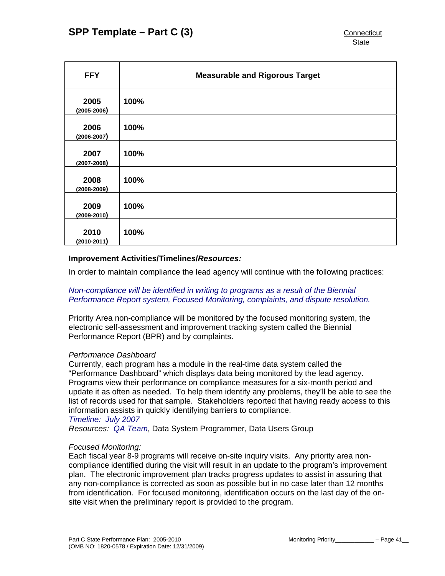| <b>FFY</b>              | <b>Measurable and Rigorous Target</b> |
|-------------------------|---------------------------------------|
| 2005<br>$(2005 - 2006)$ | 100%                                  |
| 2006<br>$(2006 - 2007)$ | 100%                                  |
| 2007<br>$(2007 - 2008)$ | 100%                                  |
| 2008<br>$(2008 - 2009)$ | 100%                                  |
| 2009<br>$(2009 - 2010)$ | 100%                                  |
| 2010<br>$(2010 - 2011)$ | 100%                                  |

## **Improvement Activities/Timelines/***Resources:*

In order to maintain compliance the lead agency will continue with the following practices:

# *Non-compliance will be identified in writing to programs as a result of the Biennial Performance Report system, Focused Monitoring, complaints, and dispute resolution.*

Priority Area non-compliance will be monitored by the focused monitoring system, the electronic self-assessment and improvement tracking system called the Biennial Performance Report (BPR) and by complaints.

#### *Performance Dashboard*

Currently, each program has a module in the real-time data system called the "Performance Dashboard" which displays data being monitored by the lead agency. Programs view their performance on compliance measures for a six-month period and update it as often as needed. To help them identify any problems, they'll be able to see the list of records used for that sample. Stakeholders reported that having ready access to this information assists in quickly identifying barriers to compliance. *Timeline: July 2007* 

*Resources: QA Team*, Data System Programmer, Data Users Group

# *Focused Monitoring:*

Each fiscal year 8-9 programs will receive on-site inquiry visits. Any priority area noncompliance identified during the visit will result in an update to the program's improvement plan. The electronic improvement plan tracks progress updates to assist in assuring that any non-compliance is corrected as soon as possible but in no case later than 12 months from identification. For focused monitoring, identification occurs on the last day of the onsite visit when the preliminary report is provided to the program.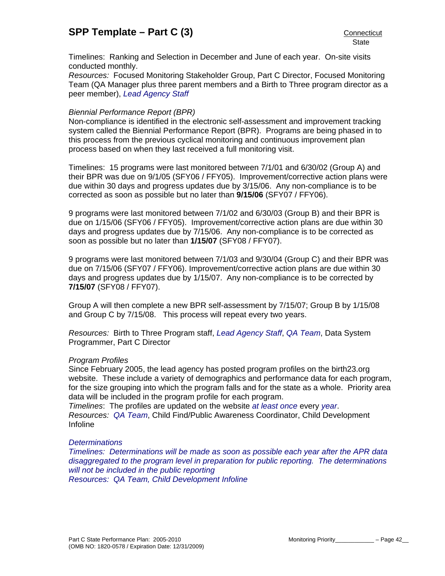Timelines: Ranking and Selection in December and June of each year. On-site visits conducted monthly.

*Resources:* Focused Monitoring Stakeholder Group, Part C Director, Focused Monitoring Team (QA Manager plus three parent members and a Birth to Three program director as a peer member), *Lead Agency Staff*

#### *Biennial Performance Report (BPR)*

Non-compliance is identified in the electronic self-assessment and improvement tracking system called the Biennial Performance Report (BPR). Programs are being phased in to this process from the previous cyclical monitoring and continuous improvement plan process based on when they last received a full monitoring visit.

Timelines: 15 programs were last monitored between 7/1/01 and 6/30/02 (Group A) and their BPR was due on 9/1/05 (SFY06 / FFY05). Improvement/corrective action plans were due within 30 days and progress updates due by 3/15/06. Any non-compliance is to be corrected as soon as possible but no later than **9/15/06** (SFY07 / FFY06).

9 programs were last monitored between 7/1/02 and 6/30/03 (Group B) and their BPR is due on 1/15/06 (SFY06 / FFY05). Improvement/corrective action plans are due within 30 days and progress updates due by 7/15/06. Any non-compliance is to be corrected as soon as possible but no later than **1/15/07** (SFY08 / FFY07).

9 programs were last monitored between 7/1/03 and 9/30/04 (Group C) and their BPR was due on 7/15/06 (SFY07 / FFY06). Improvement/corrective action plans are due within 30 days and progress updates due by 1/15/07. Any non-compliance is to be corrected by **7/15/07** (SFY08 / FFY07).

Group A will then complete a new BPR self-assessment by 7/15/07; Group B by 1/15/08 and Group C by 7/15/08. This process will repeat every two years.

*Resources:* Birth to Three Program staff, *Lead Agency Staff*, *QA Team*, Data System Programmer, Part C Director

#### *Program Profiles*

Since February 2005, the lead agency has posted program profiles on the birth23.org website. These include a variety of demographics and performance data for each program, for the size grouping into which the program falls and for the state as a whole. Priority area data will be included in the program profile for each program.

*Timelines*: The profiles are updated on the website *at least once* every *year*. *Resources: QA Team*, Child Find/Public Awareness Coordinator, Child Development Infoline

#### *Determinations*

*Timelines: Determinations will be made as soon as possible each year after the APR data disaggregated to the program level in preparation for public reporting. The determinations will not be included in the public reporting Resources: QA Team, Child Development Infoline*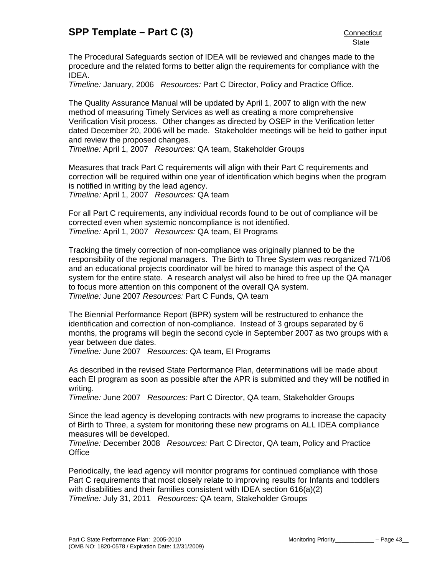The Procedural Safeguards section of IDEA will be reviewed and changes made to the procedure and the related forms to better align the requirements for compliance with the IDEA.

*Timeline:* January, 2006 *Resources:* Part C Director, Policy and Practice Office.

The Quality Assurance Manual will be updated by April 1, 2007 to align with the new method of measuring Timely Services as well as creating a more comprehensive Verification Visit process. Other changes as directed by OSEP in the Verification letter dated December 20, 2006 will be made. Stakeholder meetings will be held to gather input and review the proposed changes.

*Timeline:* April 1, 2007 *Resources:* QA team, Stakeholder Groups

Measures that track Part C requirements will align with their Part C requirements and correction will be required within one year of identification which begins when the program is notified in writing by the lead agency.

*Timeline:* April 1, 2007 *Resources:* QA team

For all Part C requirements, any individual records found to be out of compliance will be corrected even when systemic noncompliance is not identified. *Timeline:* April 1, 2007 *Resources:* QA team, EI Programs

Tracking the timely correction of non-compliance was originally planned to be the responsibility of the regional managers. The Birth to Three System was reorganized 7/1/06 and an educational projects coordinator will be hired to manage this aspect of the QA system for the entire state. A research analyst will also be hired to free up the QA manager to focus more attention on this component of the overall QA system. *Timeline:* June 2007 *Resources:* Part C Funds, QA team

The Biennial Performance Report (BPR) system will be restructured to enhance the identification and correction of non-compliance. Instead of 3 groups separated by 6 months, the programs will begin the second cycle in September 2007 as two groups with a year between due dates.

*Timeline:* June 2007 *Resources:* QA team, EI Programs

As described in the revised State Performance Plan, determinations will be made about each EI program as soon as possible after the APR is submitted and they will be notified in writing.

*Timeline:* June 2007 *Resources:* Part C Director, QA team, Stakeholder Groups

Since the lead agency is developing contracts with new programs to increase the capacity of Birth to Three, a system for monitoring these new programs on ALL IDEA compliance measures will be developed.

*Timeline:* December 2008 *Resources:* Part C Director, QA team, Policy and Practice **Office** 

Periodically, the lead agency will monitor programs for continued compliance with those Part C requirements that most closely relate to improving results for Infants and toddlers with disabilities and their families consistent with IDEA section 616(a)(2) *Timeline:* July 31, 2011 *Resources:* QA team, Stakeholder Groups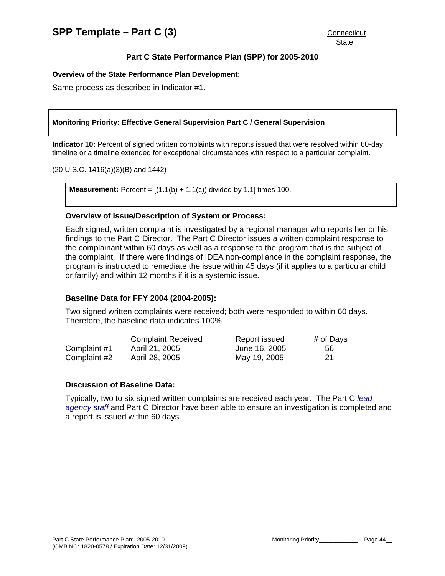# **Part C State Performance Plan (SPP) for 2005-2010**

#### **Overview of the State Performance Plan Development:**

Same process as described in Indicator #1.

#### **Monitoring Priority: Effective General Supervision Part C / General Supervision**

**Indicator 10:** Percent of signed written complaints with reports issued that were resolved within 60-day timeline or a timeline extended for exceptional circumstances with respect to a particular complaint.

(20 U.S.C. 1416(a)(3)(B) and 1442)

**Measurement:** Percent =  $[(1.1(b) + 1.1(c))$  divided by 1.1] times 100.

#### **Overview of Issue/Description of System or Process:**

Each signed, written complaint is investigated by a regional manager who reports her or his findings to the Part C Director. The Part C Director issues a written complaint response to the complainant within 60 days as well as a response to the program that is the subject of the complaint. If there were findings of IDEA non-compliance in the complaint response, the program is instructed to remediate the issue within 45 days (if it applies to a particular child or family) and within 12 months if it is a systemic issue.

#### **Baseline Data for FFY 2004 (2004-2005):**

Two signed written complaints were received; both were responded to within 60 days. Therefore, the baseline data indicates 100%

|              | <b>Complaint Received</b> | Report issued | # of Days |
|--------------|---------------------------|---------------|-----------|
| Complaint #1 | April 21, 2005            | June 16, 2005 | 56        |
| Complaint #2 | April 28, 2005            | May 19, 2005  | -21       |

#### **Discussion of Baseline Data:**

Typically, two to six signed written complaints are received each year. The Part C *lead agency staff* and Part C Director have been able to ensure an investigation is completed and a report is issued within 60 days.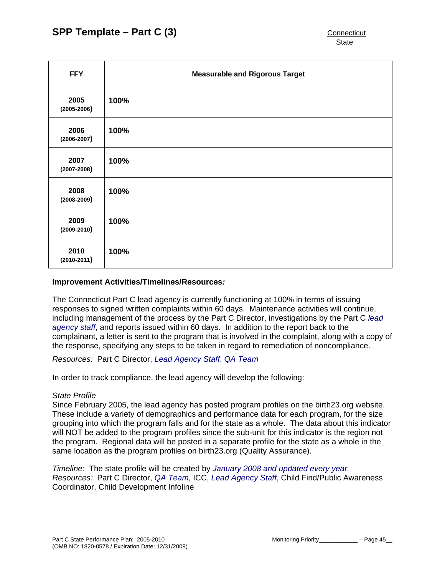| <b>FFY</b>              | <b>Measurable and Rigorous Target</b> |
|-------------------------|---------------------------------------|
| 2005<br>$(2005 - 2006)$ | 100%                                  |
| 2006<br>$(2006 - 2007)$ | 100%                                  |
| 2007<br>$(2007 - 2008)$ | 100%                                  |
| 2008<br>$(2008 - 2009)$ | 100%                                  |
| 2009<br>$(2009 - 2010)$ | 100%                                  |
| 2010<br>$(2010-2011)$   | 100%                                  |

#### **Improvement Activities/Timelines/Resources***:*

The Connecticut Part C lead agency is currently functioning at 100% in terms of issuing responses to signed written complaints within 60 days. Maintenance activities will continue, including management of the process by the Part C Director, investigations by the Part C *lead agency staff*, and reports issued within 60 days. In addition to the report back to the complainant, a letter is sent to the program that is involved in the complaint, along with a copy of the response, specifying any steps to be taken in regard to remediation of noncompliance.

*Resources:* Part C Director, *Lead Agency Staff*, *QA Team*

In order to track compliance, the lead agency will develop the following:

# *State Profile*

Since February 2005, the lead agency has posted program profiles on the birth23.org website. These include a variety of demographics and performance data for each program, for the size grouping into which the program falls and for the state as a whole. The data about this indicator will NOT be added to the program profiles since the sub-unit for this indicator is the region not the program. Regional data will be posted in a separate profile for the state as a whole in the same location as the program profiles on birth23.org (Quality Assurance).

*Timeline:* The state profile will be created by *January 2008 and updated every year. Resources:* Part C Director, *QA Team*, ICC, *Lead Agency Staff*, Child Find/Public Awareness Coordinator, Child Development Infoline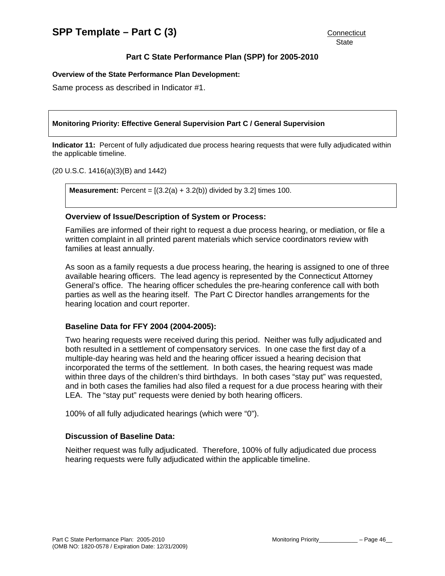# **Part C State Performance Plan (SPP) for 2005-2010**

#### **Overview of the State Performance Plan Development:**

Same process as described in Indicator #1.

#### **Monitoring Priority: Effective General Supervision Part C / General Supervision**

**Indicator 11:** Percent of fully adjudicated due process hearing requests that were fully adjudicated within the applicable timeline.

(20 U.S.C. 1416(a)(3)(B) and 1442)

**Measurement:** Percent =  $[(3.2(a) + 3.2(b))$  divided by 3.2] times 100.

#### **Overview of Issue/Description of System or Process:**

Families are informed of their right to request a due process hearing, or mediation, or file a written complaint in all printed parent materials which service coordinators review with families at least annually.

As soon as a family requests a due process hearing, the hearing is assigned to one of three available hearing officers. The lead agency is represented by the Connecticut Attorney General's office. The hearing officer schedules the pre-hearing conference call with both parties as well as the hearing itself. The Part C Director handles arrangements for the hearing location and court reporter.

#### **Baseline Data for FFY 2004 (2004-2005):**

Two hearing requests were received during this period. Neither was fully adjudicated and both resulted in a settlement of compensatory services. In one case the first day of a multiple-day hearing was held and the hearing officer issued a hearing decision that incorporated the terms of the settlement. In both cases, the hearing request was made within three days of the children's third birthdays. In both cases "stay put" was requested, and in both cases the families had also filed a request for a due process hearing with their LEA. The "stay put" requests were denied by both hearing officers.

100% of all fully adjudicated hearings (which were "0").

## **Discussion of Baseline Data:**

Neither request was fully adjudicated. Therefore, 100% of fully adjudicated due process hearing requests were fully adjudicated within the applicable timeline.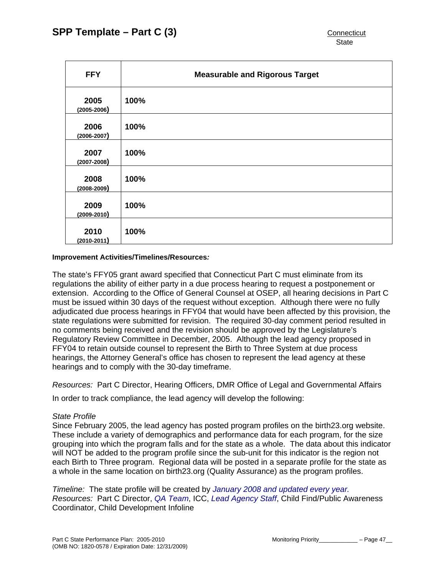| <b>FFY</b>              | <b>Measurable and Rigorous Target</b> |
|-------------------------|---------------------------------------|
| 2005<br>$(2005 - 2006)$ | 100%                                  |
| 2006<br>$(2006 - 2007)$ | 100%                                  |
| 2007<br>$(2007 - 2008)$ | 100%                                  |
| 2008<br>$(2008 - 2009)$ | 100%                                  |
| 2009<br>$(2009 - 2010)$ | 100%                                  |
| 2010<br>$(2010 - 2011)$ | 100%                                  |

#### **Improvement Activities/Timelines/Resources***:*

The state's FFY05 grant award specified that Connecticut Part C must eliminate from its regulations the ability of either party in a due process hearing to request a postponement or extension. According to the Office of General Counsel at OSEP, all hearing decisions in Part C must be issued within 30 days of the request without exception. Although there were no fully adjudicated due process hearings in FFY04 that would have been affected by this provision, the state regulations were submitted for revision. The required 30-day comment period resulted in no comments being received and the revision should be approved by the Legislature's Regulatory Review Committee in December, 2005. Although the lead agency proposed in FFY04 to retain outside counsel to represent the Birth to Three System at due process hearings, the Attorney General's office has chosen to represent the lead agency at these hearings and to comply with the 30-day timeframe.

*Resources:* Part C Director, Hearing Officers, DMR Office of Legal and Governmental Affairs

In order to track compliance, the lead agency will develop the following:

#### *State Profile*

Since February 2005, the lead agency has posted program profiles on the birth23.org website. These include a variety of demographics and performance data for each program, for the size grouping into which the program falls and for the state as a whole. The data about this indicator will NOT be added to the program profile since the sub-unit for this indicator is the region not each Birth to Three program. Regional data will be posted in a separate profile for the state as a whole in the same location on birth23.org (Quality Assurance) as the program profiles.

*Timeline:* The state profile will be created by *January 2008 and updated every year. Resources:* Part C Director, *QA Team*, ICC, *Lead Agency Staff*, Child Find/Public Awareness Coordinator, Child Development Infoline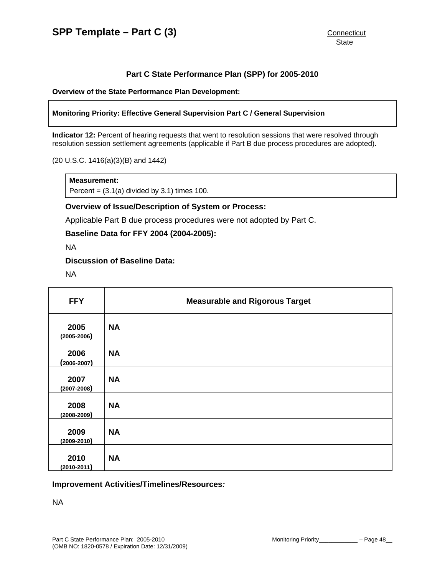# **Part C State Performance Plan (SPP) for 2005-2010**

**Overview of the State Performance Plan Development:** 

#### **Monitoring Priority: Effective General Supervision Part C / General Supervision**

**Indicator 12:** Percent of hearing requests that went to resolution sessions that were resolved through resolution session settlement agreements (applicable if Part B due process procedures are adopted).

(20 U.S.C. 1416(a)(3)(B) and 1442)

#### **Measurement:**

Percent =  $(3.1(a)$  divided by 3.1) times 100.

#### **Overview of Issue/Description of System or Process:**

Applicable Part B due process procedures were not adopted by Part C.

#### **Baseline Data for FFY 2004 (2004-2005):**

NA

### **Discussion of Baseline Data:**

NA

| <b>FFY</b>              | <b>Measurable and Rigorous Target</b> |
|-------------------------|---------------------------------------|
| 2005<br>$(2005 - 2006)$ | <b>NA</b>                             |
| 2006<br>$(2006 - 2007)$ | <b>NA</b>                             |
| 2007<br>$(2007 - 2008)$ | <b>NA</b>                             |
| 2008<br>$(2008 - 2009)$ | <b>NA</b>                             |
| 2009<br>$(2009 - 2010)$ | <b>NA</b>                             |
| 2010<br>$(2010 - 2011)$ | <b>NA</b>                             |

#### **Improvement Activities/Timelines/Resources***:*

NA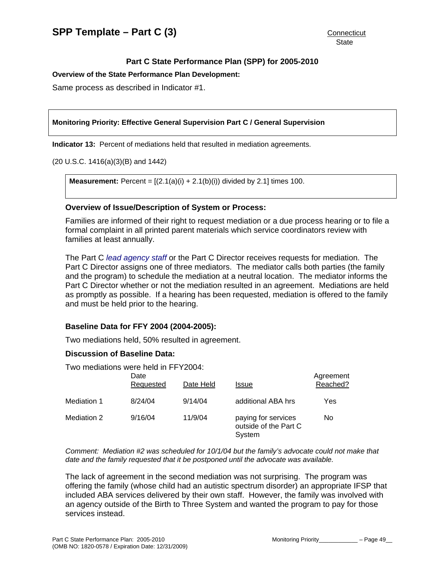**Overview of the State Performance Plan Development:** 

Same process as described in Indicator #1.

#### **Monitoring Priority: Effective General Supervision Part C / General Supervision**

**Indicator 13:** Percent of mediations held that resulted in mediation agreements.

(20 U.S.C. 1416(a)(3)(B) and 1442)

**Measurement:** Percent =  $[(2.1(a)(i) + 2.1(b)(i))$  divided by 2.1] times 100.

#### **Overview of Issue/Description of System or Process:**

Families are informed of their right to request mediation or a due process hearing or to file a formal complaint in all printed parent materials which service coordinators review with families at least annually.

The Part C *lead agency staff* or the Part C Director receives requests for mediation. The Part C Director assigns one of three mediators. The mediator calls both parties (the family and the program) to schedule the mediation at a neutral location. The mediator informs the Part C Director whether or not the mediation resulted in an agreement. Mediations are held as promptly as possible. If a hearing has been requested, mediation is offered to the family and must be held prior to the hearing.

#### **Baseline Data for FFY 2004 (2004-2005):**

Two mediations held, 50% resulted in agreement.

#### **Discussion of Baseline Data:**

Two mediations were held in FFY2004:

|             | Date<br>Requested | Date Held | Issue                                                  | Agreement<br>Reached? |
|-------------|-------------------|-----------|--------------------------------------------------------|-----------------------|
| Mediation 1 | 8/24/04           | 9/14/04   | additional ABA hrs                                     | Yes                   |
| Mediation 2 | 9/16/04           | 11/9/04   | paying for services<br>outside of the Part C<br>System | No                    |

*Comment: Mediation #2 was scheduled for 10/1/04 but the family's advocate could not make that date and the family requested that it be postponed until the advocate was available.* 

The lack of agreement in the second mediation was not surprising. The program was offering the family (whose child had an autistic spectrum disorder) an appropriate IFSP that included ABA services delivered by their own staff. However, the family was involved with an agency outside of the Birth to Three System and wanted the program to pay for those services instead.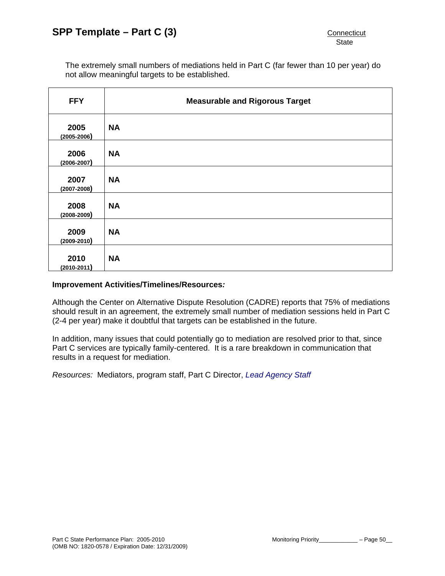The extremely small numbers of mediations held in Part C (far fewer than 10 per year) do not allow meaningful targets to be established.

| <b>FFY</b>              | <b>Measurable and Rigorous Target</b> |
|-------------------------|---------------------------------------|
| 2005<br>$(2005 - 2006)$ | <b>NA</b>                             |
| 2006<br>$(2006 - 2007)$ | <b>NA</b>                             |
| 2007<br>$(2007 - 2008)$ | <b>NA</b>                             |
| 2008<br>$(2008 - 2009)$ | <b>NA</b>                             |
| 2009<br>$(2009 - 2010)$ | <b>NA</b>                             |
| 2010<br>$(2010 - 2011)$ | <b>NA</b>                             |

#### **Improvement Activities/Timelines/Resources***:*

Although the Center on Alternative Dispute Resolution (CADRE) reports that 75% of mediations should result in an agreement, the extremely small number of mediation sessions held in Part C (2-4 per year) make it doubtful that targets can be established in the future.

In addition, many issues that could potentially go to mediation are resolved prior to that, since Part C services are typically family-centered. It is a rare breakdown in communication that results in a request for mediation.

*Resources:* Mediators, program staff, Part C Director, *Lead Agency Staff*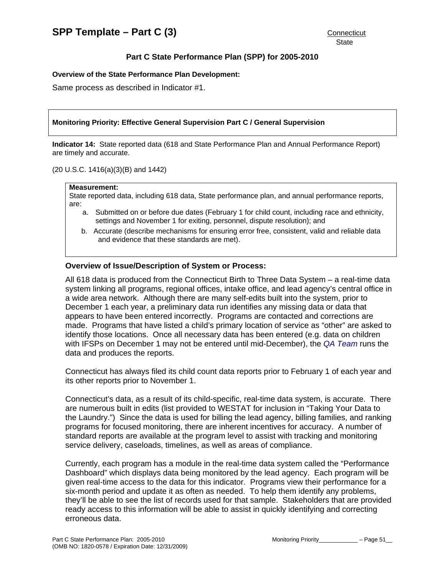#### **Overview of the State Performance Plan Development:**

Same process as described in Indicator #1.

#### **Monitoring Priority: Effective General Supervision Part C / General Supervision**

**Indicator 14:** State reported data (618 and State Performance Plan and Annual Performance Report) are timely and accurate.

#### (20 U.S.C. 1416(a)(3)(B) and 1442)

#### **Measurement:**

State reported data, including 618 data, State performance plan, and annual performance reports, are:

- a. Submitted on or before due dates (February 1 for child count, including race and ethnicity, settings and November 1 for exiting, personnel, dispute resolution); and
- b. Accurate (describe mechanisms for ensuring error free, consistent, valid and reliable data and evidence that these standards are met).

#### **Overview of Issue/Description of System or Process:**

All 618 data is produced from the Connecticut Birth to Three Data System – a real-time data system linking all programs, regional offices, intake office, and lead agency's central office in a wide area network. Although there are many self-edits built into the system, prior to December 1 each year, a preliminary data run identifies any missing data or data that appears to have been entered incorrectly. Programs are contacted and corrections are made. Programs that have listed a child's primary location of service as "other" are asked to identify those locations. Once all necessary data has been entered (e.g. data on children with IFSPs on December 1 may not be entered until mid-December), the *QA Team* runs the data and produces the reports.

Connecticut has always filed its child count data reports prior to February 1 of each year and its other reports prior to November 1.

Connecticut's data, as a result of its child-specific, real-time data system, is accurate. There are numerous built in edits (list provided to WESTAT for inclusion in "Taking Your Data to the Laundry.") Since the data is used for billing the lead agency, billing families, and ranking programs for focused monitoring, there are inherent incentives for accuracy. A number of standard reports are available at the program level to assist with tracking and monitoring service delivery, caseloads, timelines, as well as areas of compliance.

Currently, each program has a module in the real-time data system called the "Performance Dashboard" which displays data being monitored by the lead agency. Each program will be given real-time access to the data for this indicator. Programs view their performance for a six-month period and update it as often as needed. To help them identify any problems, they'll be able to see the list of records used for that sample. Stakeholders that are provided ready access to this information will be able to assist in quickly identifying and correcting erroneous data.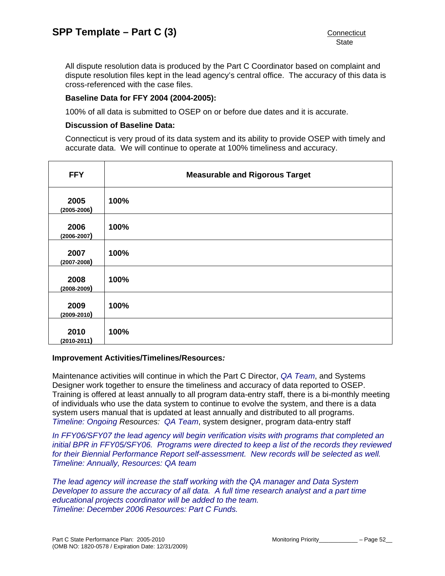All dispute resolution data is produced by the Part C Coordinator based on complaint and dispute resolution files kept in the lead agency's central office. The accuracy of this data is cross-referenced with the case files.

## **Baseline Data for FFY 2004 (2004-2005):**

100% of all data is submitted to OSEP on or before due dates and it is accurate.

## **Discussion of Baseline Data:**

Connecticut is very proud of its data system and its ability to provide OSEP with timely and accurate data. We will continue to operate at 100% timeliness and accuracy.

| <b>FFY</b>              | <b>Measurable and Rigorous Target</b> |
|-------------------------|---------------------------------------|
| 2005<br>$(2005 - 2006)$ | 100%                                  |
| 2006<br>$(2006 - 2007)$ | 100%                                  |
| 2007<br>$(2007 - 2008)$ | 100%                                  |
| 2008<br>$(2008 - 2009)$ | 100%                                  |
| 2009<br>$(2009 - 2010)$ | 100%                                  |
| 2010<br>$(2010 - 2011)$ | 100%                                  |

#### **Improvement Activities/Timelines/Resources***:*

Maintenance activities will continue in which the Part C Director, *QA Team*, and Systems Designer work together to ensure the timeliness and accuracy of data reported to OSEP. Training is offered at least annually to all program data-entry staff, there is a bi-monthly meeting of individuals who use the data system to continue to evolve the system, and there is a data system users manual that is updated at least annually and distributed to all programs. *Timeline: Ongoing Resources: QA Team*, system designer, program data-entry staff

*In FFY06/SFY07 the lead agency will begin verification visits with programs that completed an initial BPR in FFY05/SFY06. Programs were directed to keep a list of the records they reviewed for their Biennial Performance Report self-assessment. New records will be selected as well. Timeline: Annually, Resources: QA team* 

*The lead agency will increase the staff working with the QA manager and Data System Developer to assure the accuracy of all data. A full time research analyst and a part time educational projects coordinator will be added to the team. Timeline: December 2006 Resources: Part C Funds.*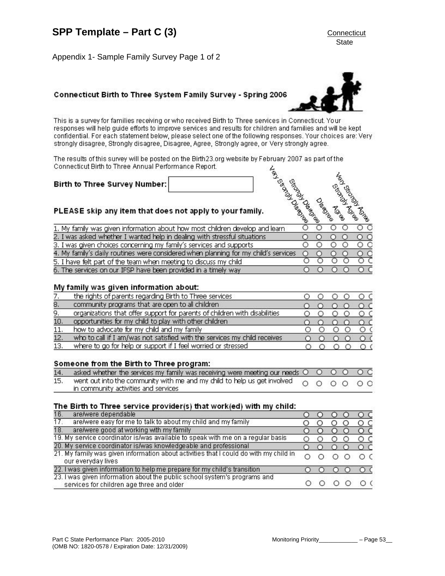Appendix 1- Sample Family Survey Page 1 of 2

# Connecticut Birth to Three System Family Survey - Spring 2006

This is a survey for families receiving or who received Birth to Three services in Connecticut. Your responses will help guide efforts to improve services and results for children and families and will be kept confidential. For each statement below, please select one of the following responses. Your choices are: Very strongly disagree, Strongly disagree, Disagree, Agree, Strongly agree, or Very strongly agree.

| The results of this survey will be posted on the Birth23.org website by February 2007 as part of the<br>Connecticut Birth to Three Annual Performance Report.<br>Tax Case of Case<br>SECTION<br>1. My family was given information about how most children develop and learn<br>O<br>О<br>O<br>6. The services on our IFSP have been provided in a timely way<br>€ |                                                                                     |  |  |  |
|--------------------------------------------------------------------------------------------------------------------------------------------------------------------------------------------------------------------------------------------------------------------------------------------------------------------------------------------------------------------|-------------------------------------------------------------------------------------|--|--|--|
|                                                                                                                                                                                                                                                                                                                                                                    |                                                                                     |  |  |  |
|                                                                                                                                                                                                                                                                                                                                                                    | Birth to Three Survey Number:                                                       |  |  |  |
|                                                                                                                                                                                                                                                                                                                                                                    |                                                                                     |  |  |  |
|                                                                                                                                                                                                                                                                                                                                                                    | PLEASE skip any item that does not apply to your family.                            |  |  |  |
|                                                                                                                                                                                                                                                                                                                                                                    |                                                                                     |  |  |  |
|                                                                                                                                                                                                                                                                                                                                                                    | 2. I was asked whether I wanted help in dealing with stressful situations           |  |  |  |
|                                                                                                                                                                                                                                                                                                                                                                    | 3. I was given choices concerning my family's services and supports                 |  |  |  |
|                                                                                                                                                                                                                                                                                                                                                                    | 4. My family's daily routines were considered when planning for my child's services |  |  |  |
|                                                                                                                                                                                                                                                                                                                                                                    | 5. I have felt part of the team when meeting to discuss my child                    |  |  |  |

#### My family was given information about:

|     | the rights of parents regarding Birth to Three services                    |  |  |
|-----|----------------------------------------------------------------------------|--|--|
| 8.  | community programs that are open to all children                           |  |  |
| 9.  | organizations that offer support for parents of children with disabilities |  |  |
| 10. | opportunities for my child to play with other children                     |  |  |
| 11. | how to advocate for my child and my family                                 |  |  |
| 12. | who to call if I am/was not satisfied with the services my child receives  |  |  |
| 13. | where to go for help or support if I feel worried or stressed              |  |  |

#### Someone from the Birth to Three program:

| 14. asked whether the services my family was receiving were meeting our needs $\bigcirc$ $\bigcirc$ $\bigcirc$ $\bigcirc$ $\bigcirc$ $\bigcirc$ |  |  |  |
|-------------------------------------------------------------------------------------------------------------------------------------------------|--|--|--|
| 15. went out into the community with me and my child to help us get involved $\bigcirc$ $\bigcirc$ $\bigcirc$ $\bigcirc$ $\bigcirc$ $\bigcirc$  |  |  |  |
| in community activities and services                                                                                                            |  |  |  |

#### The Birth to Three service provider(s) that work(ed) with my child:

| 16.<br>are/were dependable                |                                                                                       |  |  | $\circ$ c |
|-------------------------------------------|---------------------------------------------------------------------------------------|--|--|-----------|
| 17.                                       | are/were easy for me to talk to about my child and my family                          |  |  | O C       |
| 18.                                       | are/were good at working with my family                                               |  |  | $\circ$ c |
|                                           | 19. My service coordinator is/was available to speak with me on a regular basis       |  |  | о с       |
|                                           | 20. My service coordinator is/was knowledgeable and professional                      |  |  | $\circ$ c |
| our everyday lives                        | 21. My family was given information about activities that I could do with my child in |  |  | ОΟ        |
|                                           | 22. I was given information to help me prepare for my child's transition              |  |  | $\Omega$  |
| services for children age three and older | 23. I was given information about the public school system's programs and             |  |  | ΟC        |





**State**